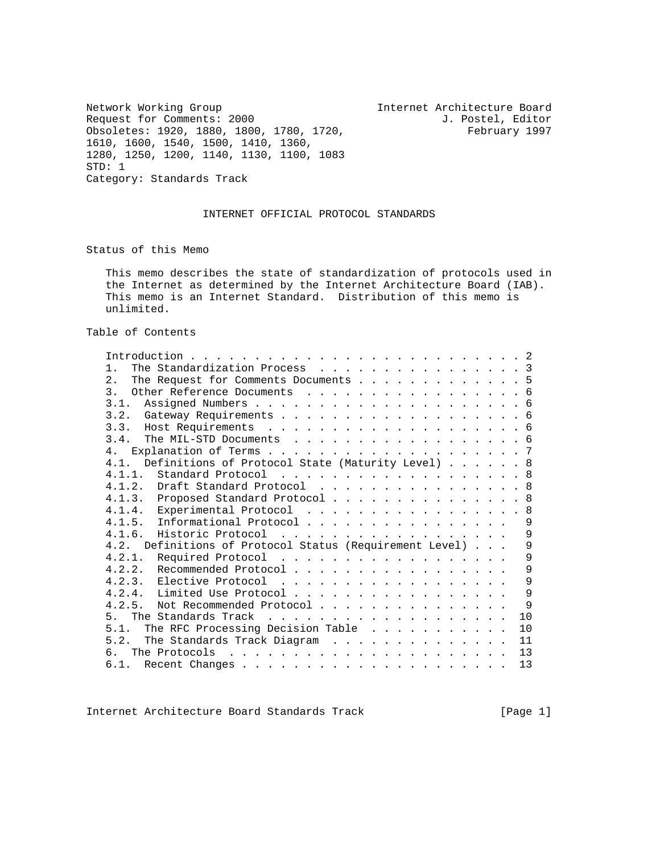Network Working Group Internet Architecture Board

Request for Comments: 2000<br>
Obsoletes: 1920, 1880, 1800, 1780, 1720, February 1997 Obsoletes: 1920, 1880, 1800, 1780, 1720, 1610, 1600, 1540, 1500, 1410, 1360, 1280, 1250, 1200, 1140, 1130, 1100, 1083 STD: 1 Category: Standards Track

# INTERNET OFFICIAL PROTOCOL STANDARDS

Status of this Memo

 This memo describes the state of standardization of protocols used in the Internet as determined by the Internet Architecture Board (IAB). This memo is an Internet Standard. Distribution of this memo is unlimited.

Table of Contents

| Introduction.                                                                                                                          |
|----------------------------------------------------------------------------------------------------------------------------------------|
| The Standardization Process 3<br>$1$ .                                                                                                 |
| 2.<br>The Request for Comments Documents 5                                                                                             |
| Other Reference Documents 6<br>$\overline{3}$ .                                                                                        |
| 3.1.                                                                                                                                   |
|                                                                                                                                        |
|                                                                                                                                        |
| 3.4.<br>The MIL-STD Documents 6                                                                                                        |
| 4.                                                                                                                                     |
| Definitions of Protocol State (Maturity Level) 8<br>4.1                                                                                |
| 4.1.1.<br>Standard Protocol 8                                                                                                          |
| 4.1.2. Draft Standard Protocol 8                                                                                                       |
| 4.1.3. Proposed Standard Protocol 8                                                                                                    |
| 4.1.4. Experimental Protocol 8                                                                                                         |
| 4.1.5. Informational Protocol<br>9                                                                                                     |
| 9<br>4.1.6.                                                                                                                            |
| 4.2. Definitions of Protocol Status (Requirement Level)<br>9                                                                           |
| 4.2.1.<br>Required Protocol<br>9                                                                                                       |
| 4.2.2. Recommended Protocol<br>9                                                                                                       |
| 9<br>4.2.3. Elective Protocol                                                                                                          |
| 9<br>4.2.4. Limited Use Protocol                                                                                                       |
| 9<br>4.2.5.<br>Not Recommended Protocol                                                                                                |
| 10<br>$5 -$                                                                                                                            |
| The RFC Processing Decision Table<br>5.1.<br>10                                                                                        |
| The Standards Track Diagram<br>5.2.<br>11                                                                                              |
| The Protocols<br>13<br>the contract of the contract of the contract of the contract of the contract of the contract of the contract of |
| 6.1.<br>13                                                                                                                             |

Internet Architecture Board Standards Track [Page 1]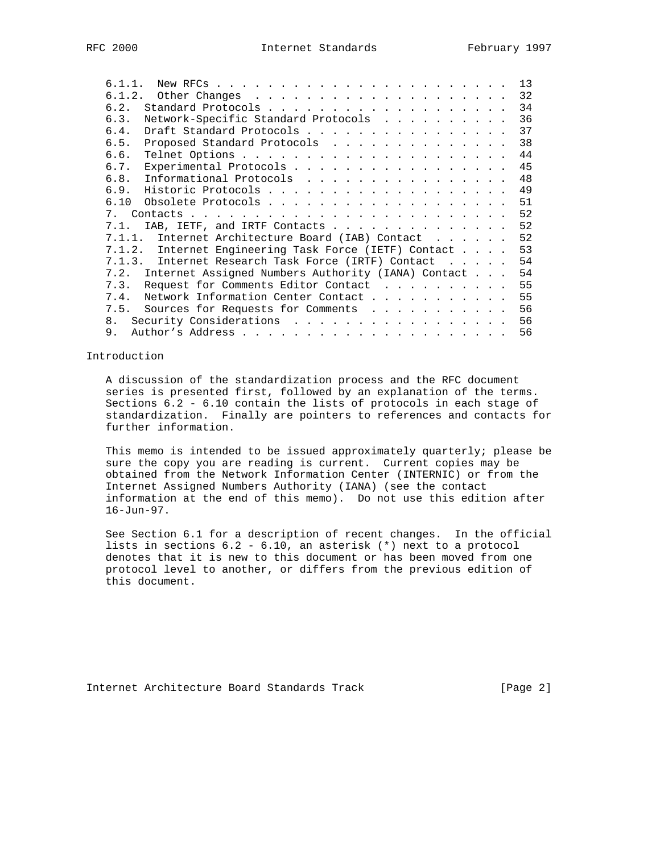| 6.1.1.                                                   |  | 13 |
|----------------------------------------------------------|--|----|
| 6.1.2.                                                   |  | 32 |
| 6.2.                                                     |  | 34 |
| Network-Specific Standard Protocols<br>6.3.              |  | 36 |
| Draft Standard Protocols<br>6.4.                         |  | 37 |
| 6.5.<br>Proposed Standard Protocols                      |  | 38 |
| 6.6.                                                     |  | 44 |
| Experimental Protocols<br>6.7.                           |  | 45 |
| 6.8.<br>Informational Protocols                          |  | 48 |
| 6.9.                                                     |  | 49 |
|                                                          |  | 51 |
| 7                                                        |  | 52 |
| IAB, IETF, and IRTF Contacts<br>7.1.                     |  | 52 |
| 7.1.1. Internet Architecture Board (IAB) Contact         |  | 52 |
| 7.1.2.<br>Internet Engineering Task Force (IETF) Contact |  | 53 |
| 7.1.3.<br>Internet Research Task Force (IRTF) Contact    |  | 54 |
| 7.2. Internet Assigned Numbers Authority (IANA) Contact  |  | 54 |
| Request for Comments Editor Contact<br>7.3.              |  | 55 |
| Network Information Center Contact<br>7.4.               |  | 55 |
| 7.5. Sources for Requests for Comments                   |  | 56 |
| Security Considerations<br>8.                            |  | 56 |
| 9.                                                       |  | 56 |

### Introduction

 A discussion of the standardization process and the RFC document series is presented first, followed by an explanation of the terms. Sections 6.2 - 6.10 contain the lists of protocols in each stage of standardization. Finally are pointers to references and contacts for further information.

 This memo is intended to be issued approximately quarterly; please be sure the copy you are reading is current. Current copies may be obtained from the Network Information Center (INTERNIC) or from the Internet Assigned Numbers Authority (IANA) (see the contact information at the end of this memo). Do not use this edition after 16-Jun-97.

 See Section 6.1 for a description of recent changes. In the official lists in sections 6.2 - 6.10, an asterisk (\*) next to a protocol denotes that it is new to this document or has been moved from one protocol level to another, or differs from the previous edition of this document.

Internet Architecture Board Standards Track [Page 2]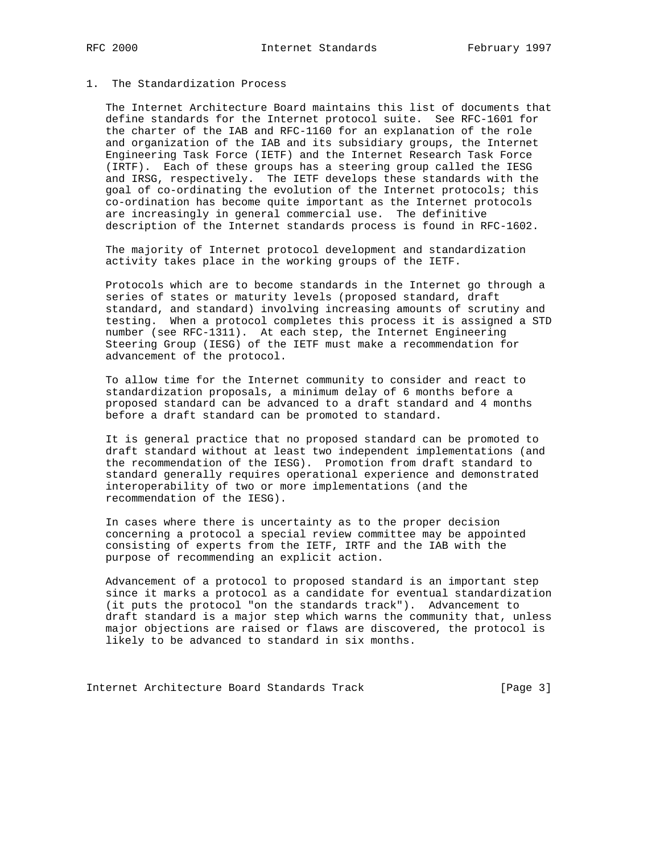## 1. The Standardization Process

 The Internet Architecture Board maintains this list of documents that define standards for the Internet protocol suite. See RFC-1601 for the charter of the IAB and RFC-1160 for an explanation of the role and organization of the IAB and its subsidiary groups, the Internet Engineering Task Force (IETF) and the Internet Research Task Force (IRTF). Each of these groups has a steering group called the IESG and IRSG, respectively. The IETF develops these standards with the goal of co-ordinating the evolution of the Internet protocols; this co-ordination has become quite important as the Internet protocols are increasingly in general commercial use. The definitive description of the Internet standards process is found in RFC-1602.

 The majority of Internet protocol development and standardization activity takes place in the working groups of the IETF.

 Protocols which are to become standards in the Internet go through a series of states or maturity levels (proposed standard, draft standard, and standard) involving increasing amounts of scrutiny and testing. When a protocol completes this process it is assigned a STD number (see RFC-1311). At each step, the Internet Engineering Steering Group (IESG) of the IETF must make a recommendation for advancement of the protocol.

 To allow time for the Internet community to consider and react to standardization proposals, a minimum delay of 6 months before a proposed standard can be advanced to a draft standard and 4 months before a draft standard can be promoted to standard.

 It is general practice that no proposed standard can be promoted to draft standard without at least two independent implementations (and the recommendation of the IESG). Promotion from draft standard to standard generally requires operational experience and demonstrated interoperability of two or more implementations (and the recommendation of the IESG).

 In cases where there is uncertainty as to the proper decision concerning a protocol a special review committee may be appointed consisting of experts from the IETF, IRTF and the IAB with the purpose of recommending an explicit action.

 Advancement of a protocol to proposed standard is an important step since it marks a protocol as a candidate for eventual standardization (it puts the protocol "on the standards track"). Advancement to draft standard is a major step which warns the community that, unless major objections are raised or flaws are discovered, the protocol is likely to be advanced to standard in six months.

Internet Architecture Board Standards Track [Page 3]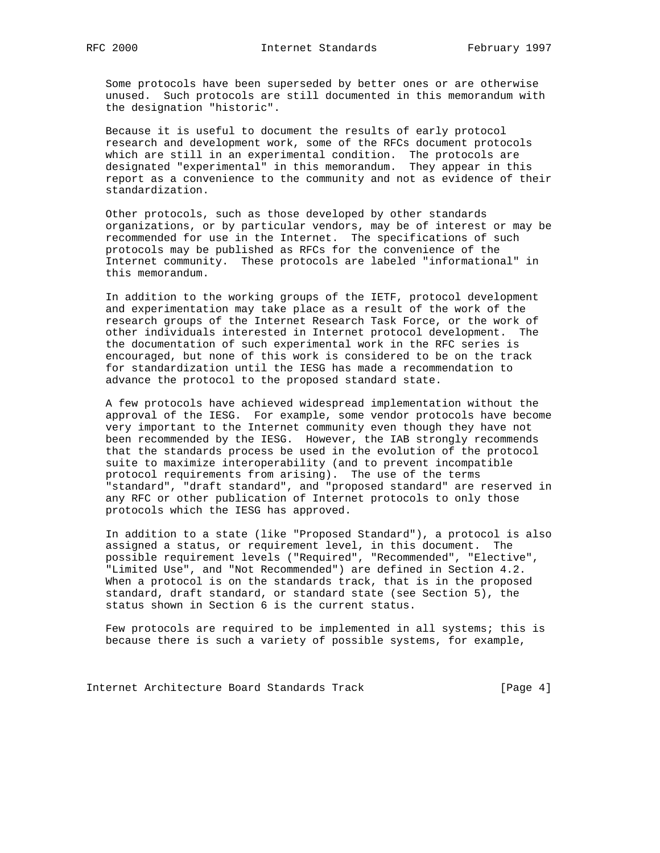Some protocols have been superseded by better ones or are otherwise unused. Such protocols are still documented in this memorandum with the designation "historic".

 Because it is useful to document the results of early protocol research and development work, some of the RFCs document protocols which are still in an experimental condition. The protocols are designated "experimental" in this memorandum. They appear in this report as a convenience to the community and not as evidence of their standardization.

 Other protocols, such as those developed by other standards organizations, or by particular vendors, may be of interest or may be recommended for use in the Internet. The specifications of such protocols may be published as RFCs for the convenience of the Internet community. These protocols are labeled "informational" in this memorandum.

 In addition to the working groups of the IETF, protocol development and experimentation may take place as a result of the work of the research groups of the Internet Research Task Force, or the work of other individuals interested in Internet protocol development. The the documentation of such experimental work in the RFC series is encouraged, but none of this work is considered to be on the track for standardization until the IESG has made a recommendation to advance the protocol to the proposed standard state.

 A few protocols have achieved widespread implementation without the approval of the IESG. For example, some vendor protocols have become very important to the Internet community even though they have not been recommended by the IESG. However, the IAB strongly recommends that the standards process be used in the evolution of the protocol suite to maximize interoperability (and to prevent incompatible protocol requirements from arising). The use of the terms "standard", "draft standard", and "proposed standard" are reserved in any RFC or other publication of Internet protocols to only those protocols which the IESG has approved.

 In addition to a state (like "Proposed Standard"), a protocol is also assigned a status, or requirement level, in this document. The possible requirement levels ("Required", "Recommended", "Elective", "Limited Use", and "Not Recommended") are defined in Section 4.2. When a protocol is on the standards track, that is in the proposed standard, draft standard, or standard state (see Section 5), the status shown in Section 6 is the current status.

 Few protocols are required to be implemented in all systems; this is because there is such a variety of possible systems, for example,

Internet Architecture Board Standards Track [Page 4]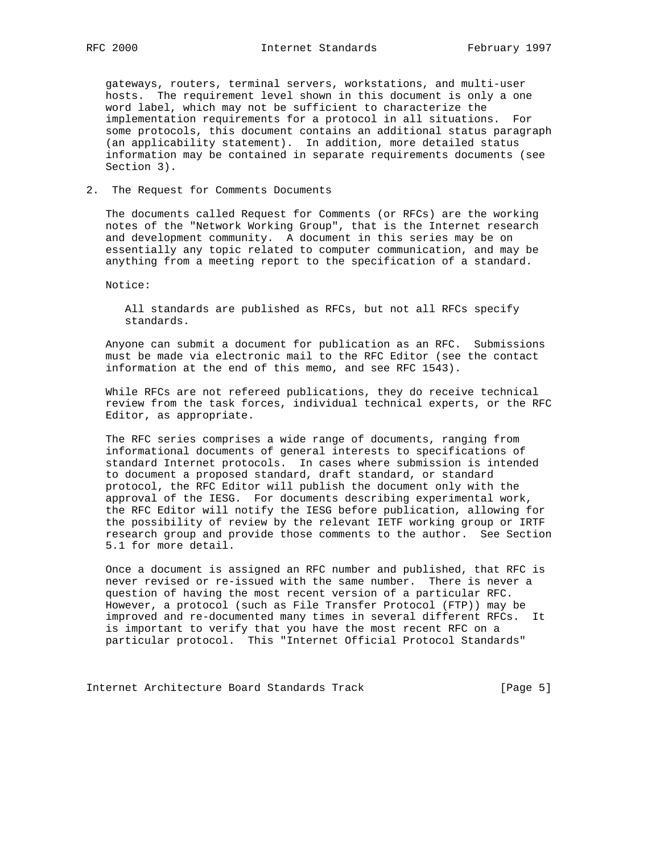gateways, routers, terminal servers, workstations, and multi-user hosts. The requirement level shown in this document is only a one word label, which may not be sufficient to characterize the implementation requirements for a protocol in all situations. For some protocols, this document contains an additional status paragraph (an applicability statement). In addition, more detailed status information may be contained in separate requirements documents (see Section 3).

### 2. The Request for Comments Documents

 The documents called Request for Comments (or RFCs) are the working notes of the "Network Working Group", that is the Internet research and development community. A document in this series may be on essentially any topic related to computer communication, and may be anything from a meeting report to the specification of a standard.

Notice:

 All standards are published as RFCs, but not all RFCs specify standards.

 Anyone can submit a document for publication as an RFC. Submissions must be made via electronic mail to the RFC Editor (see the contact information at the end of this memo, and see RFC 1543).

 While RFCs are not refereed publications, they do receive technical review from the task forces, individual technical experts, or the RFC Editor, as appropriate.

 The RFC series comprises a wide range of documents, ranging from informational documents of general interests to specifications of standard Internet protocols. In cases where submission is intended to document a proposed standard, draft standard, or standard protocol, the RFC Editor will publish the document only with the approval of the IESG. For documents describing experimental work, the RFC Editor will notify the IESG before publication, allowing for the possibility of review by the relevant IETF working group or IRTF research group and provide those comments to the author. See Section 5.1 for more detail.

 Once a document is assigned an RFC number and published, that RFC is never revised or re-issued with the same number. There is never a question of having the most recent version of a particular RFC. However, a protocol (such as File Transfer Protocol (FTP)) may be improved and re-documented many times in several different RFCs. It is important to verify that you have the most recent RFC on a particular protocol. This "Internet Official Protocol Standards"

Internet Architecture Board Standards Track [Page 5]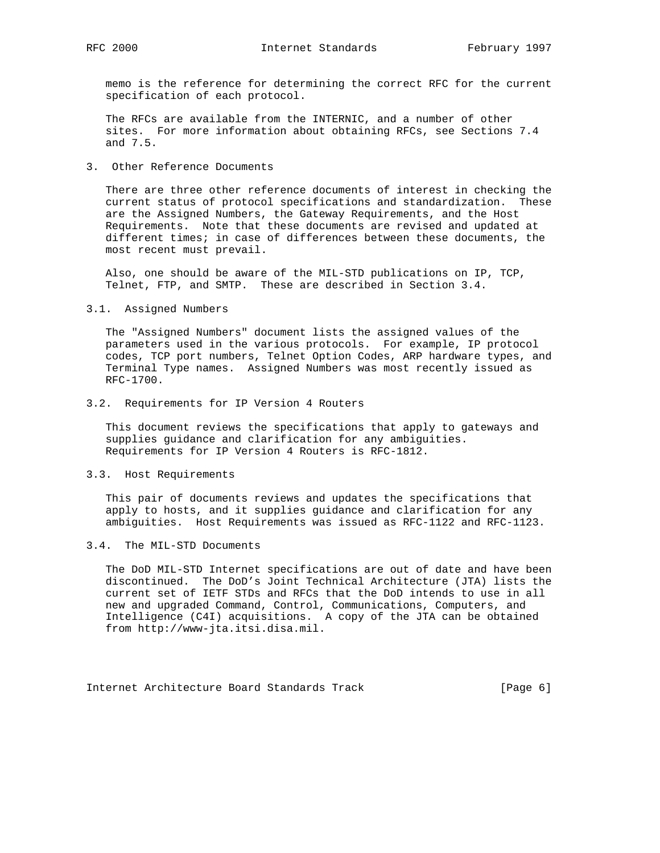memo is the reference for determining the correct RFC for the current specification of each protocol.

 The RFCs are available from the INTERNIC, and a number of other sites. For more information about obtaining RFCs, see Sections 7.4 and 7.5.

3. Other Reference Documents

 There are three other reference documents of interest in checking the current status of protocol specifications and standardization. These are the Assigned Numbers, the Gateway Requirements, and the Host Requirements. Note that these documents are revised and updated at different times; in case of differences between these documents, the most recent must prevail.

 Also, one should be aware of the MIL-STD publications on IP, TCP, Telnet, FTP, and SMTP. These are described in Section 3.4.

3.1. Assigned Numbers

 The "Assigned Numbers" document lists the assigned values of the parameters used in the various protocols. For example, IP protocol codes, TCP port numbers, Telnet Option Codes, ARP hardware types, and Terminal Type names. Assigned Numbers was most recently issued as RFC-1700.

#### 3.2. Requirements for IP Version 4 Routers

 This document reviews the specifications that apply to gateways and supplies guidance and clarification for any ambiguities. Requirements for IP Version 4 Routers is RFC-1812.

#### 3.3. Host Requirements

 This pair of documents reviews and updates the specifications that apply to hosts, and it supplies guidance and clarification for any ambiguities. Host Requirements was issued as RFC-1122 and RFC-1123.

#### 3.4. The MIL-STD Documents

 The DoD MIL-STD Internet specifications are out of date and have been discontinued. The DoD's Joint Technical Architecture (JTA) lists the current set of IETF STDs and RFCs that the DoD intends to use in all new and upgraded Command, Control, Communications, Computers, and Intelligence (C4I) acquisitions. A copy of the JTA can be obtained from http://www-jta.itsi.disa.mil.

Internet Architecture Board Standards Track [Page 6]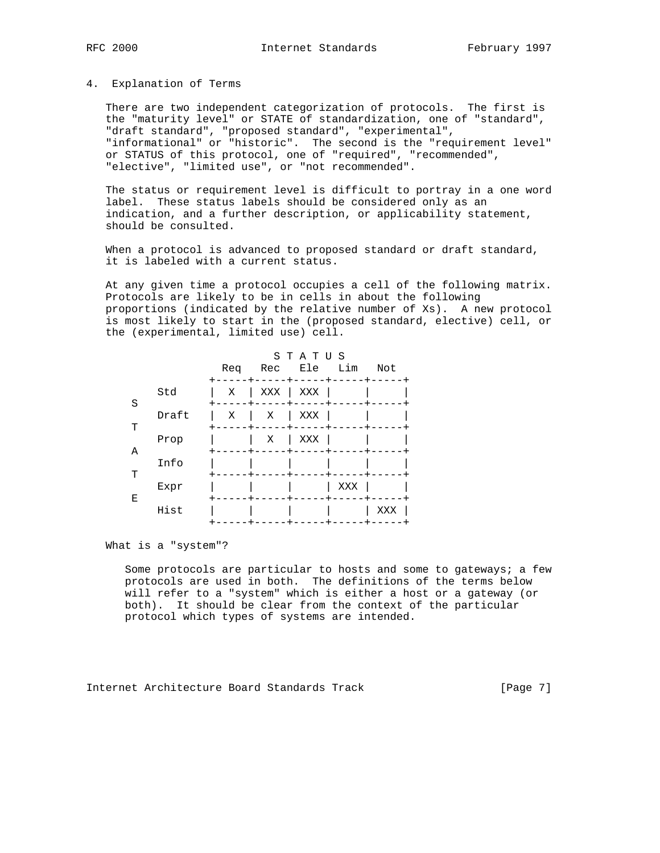#### 4. Explanation of Terms

 There are two independent categorization of protocols. The first is the "maturity level" or STATE of standardization, one of "standard", "draft standard", "proposed standard", "experimental", "informational" or "historic". The second is the "requirement level" or STATUS of this protocol, one of "required", "recommended", "elective", "limited use", or "not recommended".

 The status or requirement level is difficult to portray in a one word label. These status labels should be considered only as an indication, and a further description, or applicability statement, should be consulted.

When a protocol is advanced to proposed standard or draft standard, it is labeled with a current status.

 At any given time a protocol occupies a cell of the following matrix. Protocols are likely to be in cells in about the following proportions (indicated by the relative number of Xs). A new protocol is most likely to start in the (proposed standard, elective) cell, or the (experimental, limited use) cell.

|   |       | Req | Rec | STATUS<br>Ele Lim |     | Not |
|---|-------|-----|-----|-------------------|-----|-----|
| S | Std   | Χ   | XXX | XXX               |     |     |
| т | Draft | X   | Χ   | XXX               |     |     |
|   | Prop  |     | Χ   | XXX               |     |     |
| Α | Info  |     |     |                   |     |     |
| T | Expr  |     |     |                   | XXX |     |
| Ε | Hist  |     |     |                   |     | XXX |

What is a "system"?

 Some protocols are particular to hosts and some to gateways; a few protocols are used in both. The definitions of the terms below will refer to a "system" which is either a host or a gateway (or both). It should be clear from the context of the particular protocol which types of systems are intended.

Internet Architecture Board Standards Track [Page 7]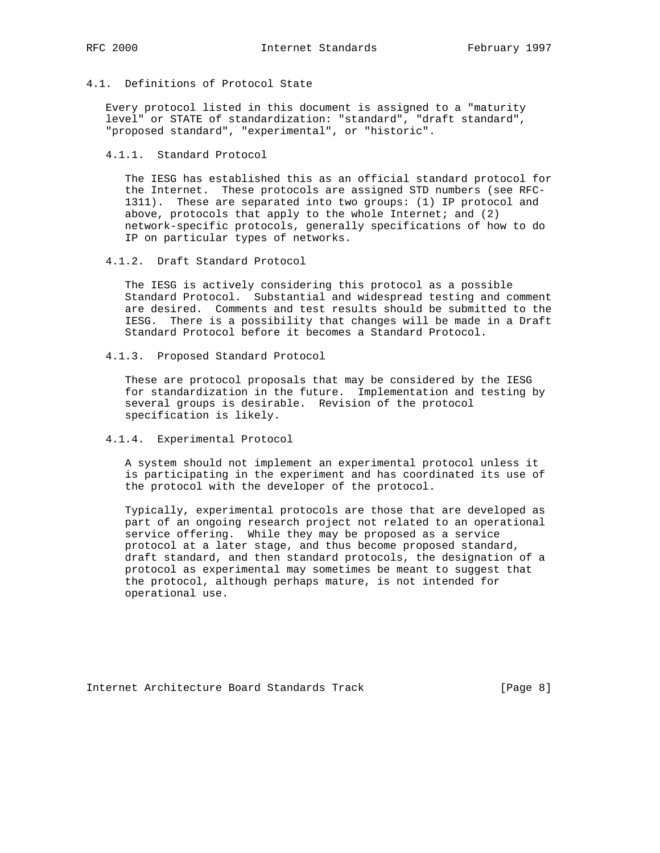4.1. Definitions of Protocol State

 Every protocol listed in this document is assigned to a "maturity level" or STATE of standardization: "standard", "draft standard", "proposed standard", "experimental", or "historic".

4.1.1. Standard Protocol

 The IESG has established this as an official standard protocol for the Internet. These protocols are assigned STD numbers (see RFC- 1311). These are separated into two groups: (1) IP protocol and above, protocols that apply to the whole Internet; and  $(2)$  network-specific protocols, generally specifications of how to do IP on particular types of networks.

4.1.2. Draft Standard Protocol

 The IESG is actively considering this protocol as a possible Standard Protocol. Substantial and widespread testing and comment are desired. Comments and test results should be submitted to the IESG. There is a possibility that changes will be made in a Draft Standard Protocol before it becomes a Standard Protocol.

4.1.3. Proposed Standard Protocol

 These are protocol proposals that may be considered by the IESG for standardization in the future. Implementation and testing by several groups is desirable. Revision of the protocol specification is likely.

4.1.4. Experimental Protocol

 A system should not implement an experimental protocol unless it is participating in the experiment and has coordinated its use of the protocol with the developer of the protocol.

 Typically, experimental protocols are those that are developed as part of an ongoing research project not related to an operational service offering. While they may be proposed as a service protocol at a later stage, and thus become proposed standard, draft standard, and then standard protocols, the designation of a protocol as experimental may sometimes be meant to suggest that the protocol, although perhaps mature, is not intended for operational use.

Internet Architecture Board Standards Track [Page 8]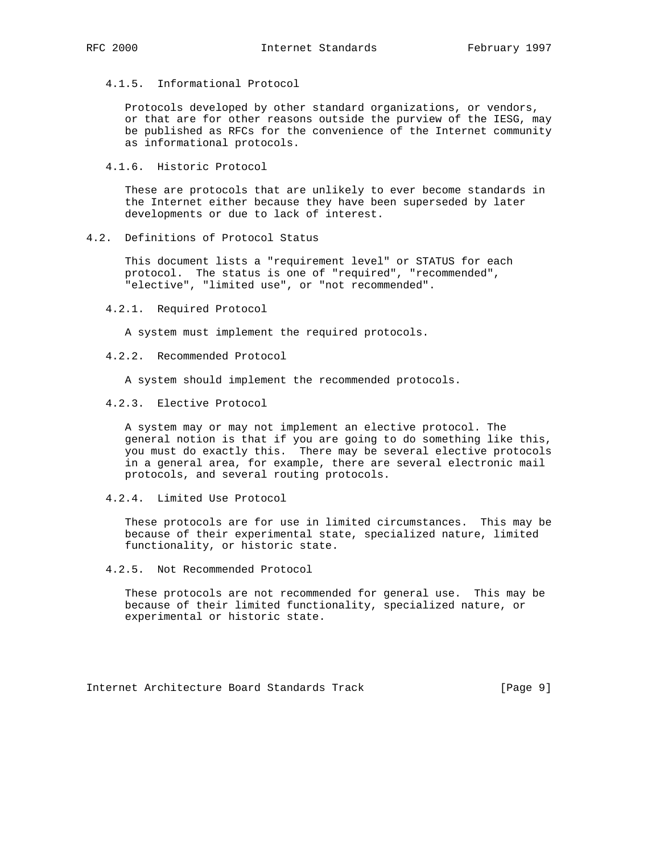4.1.5. Informational Protocol

 Protocols developed by other standard organizations, or vendors, or that are for other reasons outside the purview of the IESG, may be published as RFCs for the convenience of the Internet community as informational protocols.

4.1.6. Historic Protocol

 These are protocols that are unlikely to ever become standards in the Internet either because they have been superseded by later developments or due to lack of interest.

4.2. Definitions of Protocol Status

 This document lists a "requirement level" or STATUS for each protocol. The status is one of "required", "recommended", "elective", "limited use", or "not recommended".

4.2.1. Required Protocol

A system must implement the required protocols.

4.2.2. Recommended Protocol

A system should implement the recommended protocols.

4.2.3. Elective Protocol

 A system may or may not implement an elective protocol. The general notion is that if you are going to do something like this, you must do exactly this. There may be several elective protocols in a general area, for example, there are several electronic mail protocols, and several routing protocols.

4.2.4. Limited Use Protocol

 These protocols are for use in limited circumstances. This may be because of their experimental state, specialized nature, limited functionality, or historic state.

4.2.5. Not Recommended Protocol

 These protocols are not recommended for general use. This may be because of their limited functionality, specialized nature, or experimental or historic state.

Internet Architecture Board Standards Track [Page 9]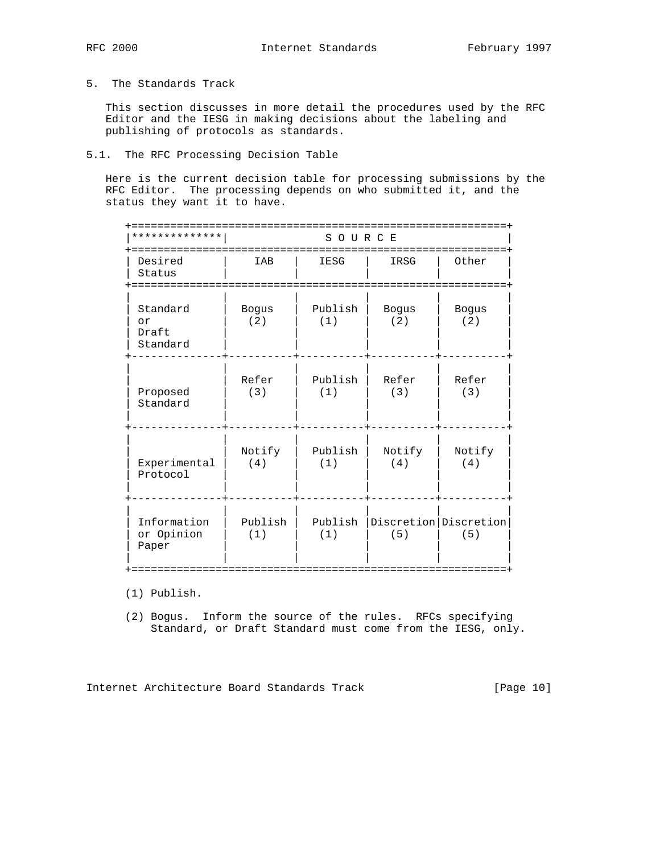## 5. The Standards Track

 This section discusses in more detail the procedures used by the RFC Editor and the IESG in making decisions about the labeling and publishing of protocols as standards.

## 5.1. The RFC Processing Decision Table

 Here is the current decision table for processing submissions by the RFC Editor. The processing depends on who submitted it, and the status they want it to have.

| * * * * * * * * * * *               | SOURCE              |                |               |                                  |
|-------------------------------------|---------------------|----------------|---------------|----------------------------------|
| Desired<br>Status                   | IAB                 | IESG           | IRSG          | Other                            |
| Standard<br>or<br>Draft<br>Standard | <b>Bogus</b><br>(2) | Publish<br>(1) | Bogus<br>(2)  | <b>Bogus</b><br>(2)              |
| Proposed<br>Standard                | Refer<br>(3)        | Publish<br>(1) | Refer<br>(3)  | Refer<br>(3)                     |
| Experimental<br>Protocol            | Notify<br>(4)       | Publish<br>(1) | Notify<br>(4) | Notify<br>(4)                    |
| Information<br>or Opinion<br>Paper  | Publish<br>(1)      | Publish<br>(1) | (5)           | Discretion   Discretion  <br>(5) |

(1) Publish.

 (2) Bogus. Inform the source of the rules. RFCs specifying Standard, or Draft Standard must come from the IESG, only.

Internet Architecture Board Standards Track [Page 10]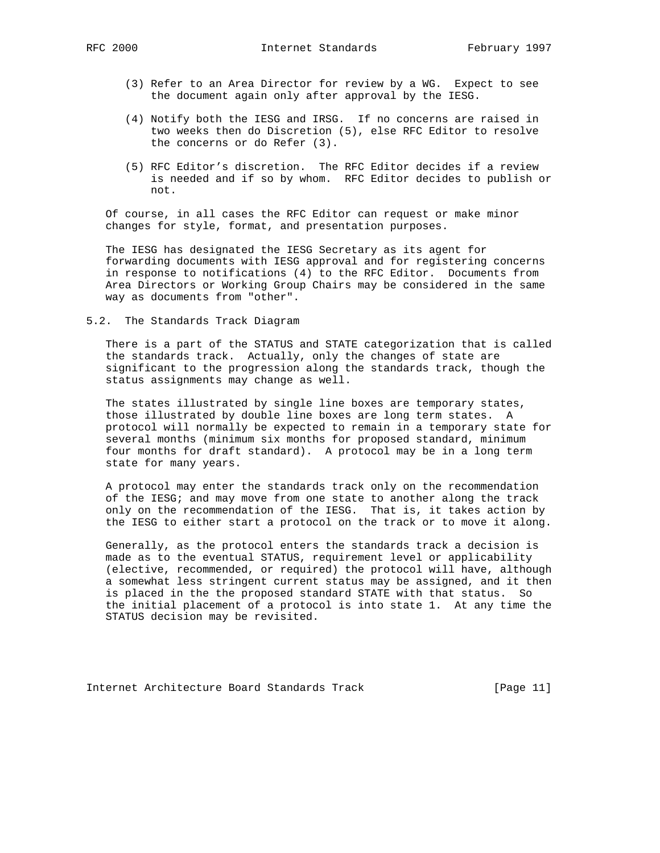- (3) Refer to an Area Director for review by a WG. Expect to see the document again only after approval by the IESG.
- (4) Notify both the IESG and IRSG. If no concerns are raised in two weeks then do Discretion (5), else RFC Editor to resolve the concerns or do Refer (3).
- (5) RFC Editor's discretion. The RFC Editor decides if a review is needed and if so by whom. RFC Editor decides to publish or not.

 Of course, in all cases the RFC Editor can request or make minor changes for style, format, and presentation purposes.

 The IESG has designated the IESG Secretary as its agent for forwarding documents with IESG approval and for registering concerns in response to notifications (4) to the RFC Editor. Documents from Area Directors or Working Group Chairs may be considered in the same way as documents from "other".

5.2. The Standards Track Diagram

 There is a part of the STATUS and STATE categorization that is called the standards track. Actually, only the changes of state are significant to the progression along the standards track, though the status assignments may change as well.

 The states illustrated by single line boxes are temporary states, those illustrated by double line boxes are long term states. A protocol will normally be expected to remain in a temporary state for several months (minimum six months for proposed standard, minimum four months for draft standard). A protocol may be in a long term state for many years.

 A protocol may enter the standards track only on the recommendation of the IESG; and may move from one state to another along the track only on the recommendation of the IESG. That is, it takes action by the IESG to either start a protocol on the track or to move it along.

 Generally, as the protocol enters the standards track a decision is made as to the eventual STATUS, requirement level or applicability (elective, recommended, or required) the protocol will have, although a somewhat less stringent current status may be assigned, and it then is placed in the the proposed standard STATE with that status. So the initial placement of a protocol is into state 1. At any time the STATUS decision may be revisited.

Internet Architecture Board Standards Track [Page 11]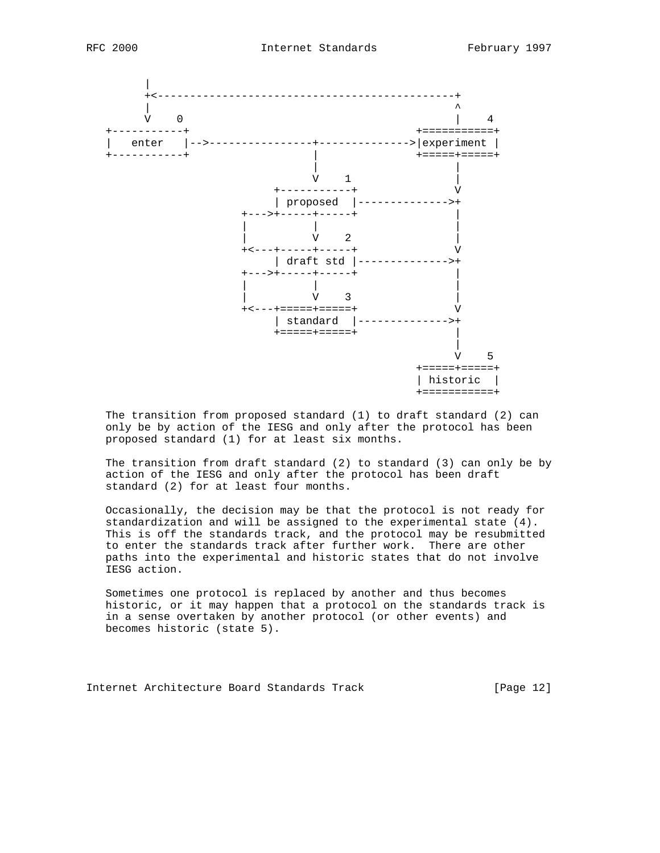



 The transition from proposed standard (1) to draft standard (2) can only be by action of the IESG and only after the protocol has been proposed standard (1) for at least six months.

 The transition from draft standard (2) to standard (3) can only be by action of the IESG and only after the protocol has been draft standard (2) for at least four months.

 Occasionally, the decision may be that the protocol is not ready for standardization and will be assigned to the experimental state (4). This is off the standards track, and the protocol may be resubmitted to enter the standards track after further work. There are other paths into the experimental and historic states that do not involve IESG action.

 Sometimes one protocol is replaced by another and thus becomes historic, or it may happen that a protocol on the standards track is in a sense overtaken by another protocol (or other events) and becomes historic (state 5).

Internet Architecture Board Standards Track [Page 12]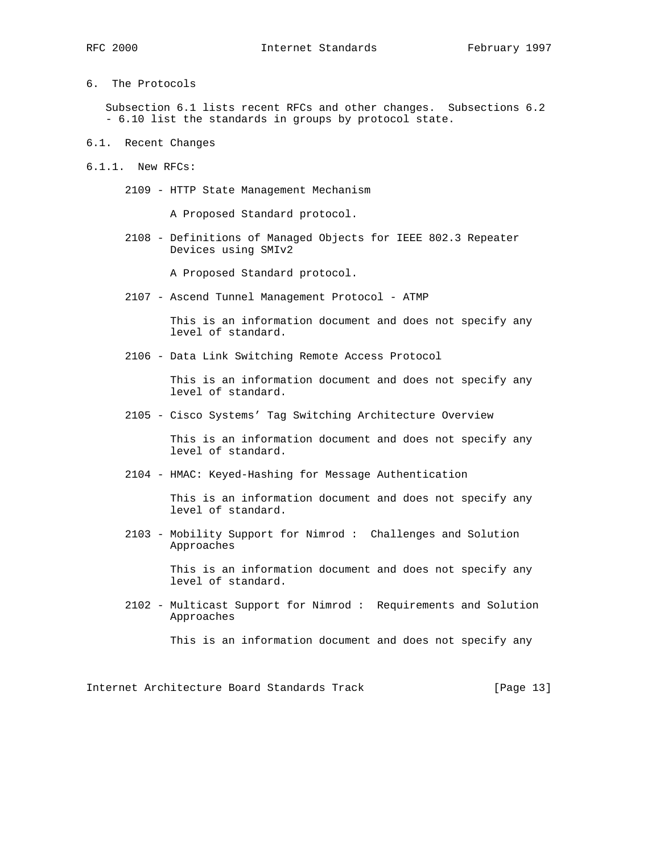6. The Protocols

 Subsection 6.1 lists recent RFCs and other changes. Subsections 6.2 - 6.10 list the standards in groups by protocol state.

- 6.1. Recent Changes
- 6.1.1. New RFCs:
	- 2109 HTTP State Management Mechanism

A Proposed Standard protocol.

 2108 - Definitions of Managed Objects for IEEE 802.3 Repeater Devices using SMIv2

A Proposed Standard protocol.

2107 - Ascend Tunnel Management Protocol - ATMP

 This is an information document and does not specify any level of standard.

2106 - Data Link Switching Remote Access Protocol

 This is an information document and does not specify any level of standard.

2105 - Cisco Systems' Tag Switching Architecture Overview

 This is an information document and does not specify any level of standard.

2104 - HMAC: Keyed-Hashing for Message Authentication

 This is an information document and does not specify any level of standard.

 2103 - Mobility Support for Nimrod : Challenges and Solution Approaches

> This is an information document and does not specify any level of standard.

 2102 - Multicast Support for Nimrod : Requirements and Solution Approaches

This is an information document and does not specify any

Internet Architecture Board Standards Track [Page 13]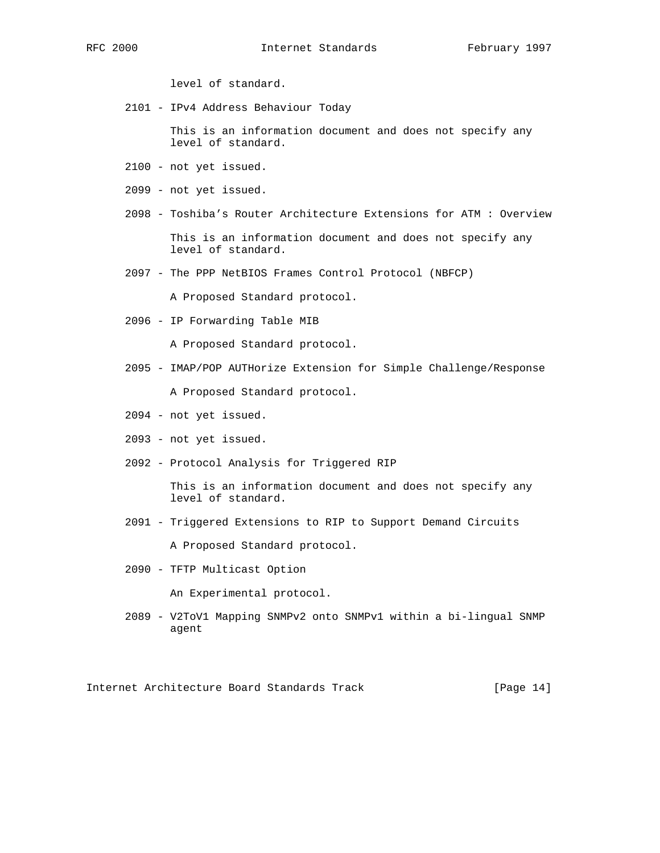level of standard.

2101 - IPv4 Address Behaviour Today

 This is an information document and does not specify any level of standard.

- 2100 not yet issued.
- 2099 not yet issued.
- 2098 Toshiba's Router Architecture Extensions for ATM : Overview

 This is an information document and does not specify any level of standard.

2097 - The PPP NetBIOS Frames Control Protocol (NBFCP)

A Proposed Standard protocol.

2096 - IP Forwarding Table MIB

A Proposed Standard protocol.

- 2095 IMAP/POP AUTHorize Extension for Simple Challenge/Response A Proposed Standard protocol.
- 2094 not yet issued.
- 2093 not yet issued.
- 2092 Protocol Analysis for Triggered RIP

 This is an information document and does not specify any level of standard.

2091 - Triggered Extensions to RIP to Support Demand Circuits

A Proposed Standard protocol.

2090 - TFTP Multicast Option

An Experimental protocol.

 2089 - V2ToV1 Mapping SNMPv2 onto SNMPv1 within a bi-lingual SNMP agent

Internet Architecture Board Standards Track [Page 14]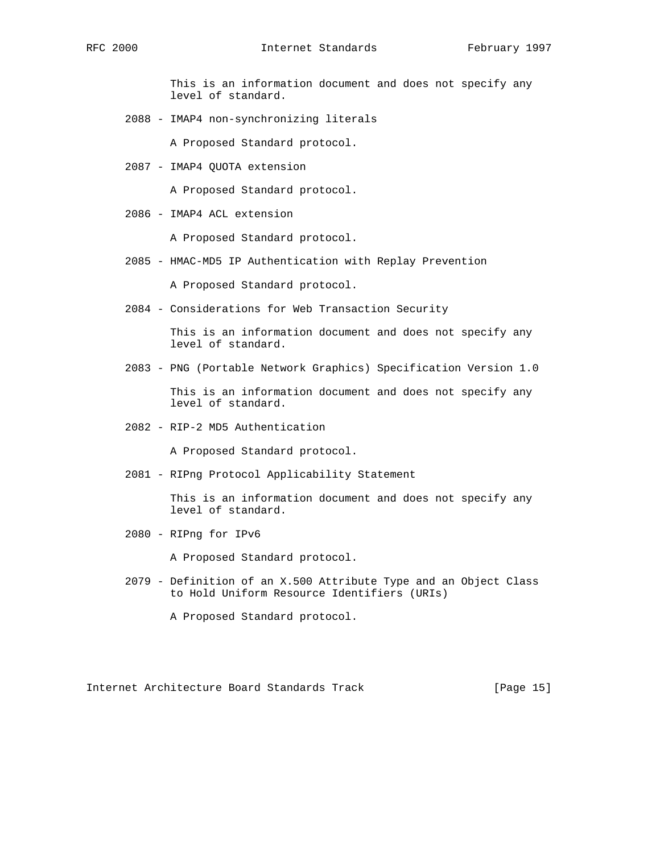This is an information document and does not specify any level of standard.

2088 - IMAP4 non-synchronizing literals

A Proposed Standard protocol.

2087 - IMAP4 QUOTA extension

A Proposed Standard protocol.

2086 - IMAP4 ACL extension

A Proposed Standard protocol.

2085 - HMAC-MD5 IP Authentication with Replay Prevention

A Proposed Standard protocol.

2084 - Considerations for Web Transaction Security

 This is an information document and does not specify any level of standard.

2083 - PNG (Portable Network Graphics) Specification Version 1.0

 This is an information document and does not specify any level of standard.

2082 - RIP-2 MD5 Authentication

A Proposed Standard protocol.

2081 - RIPng Protocol Applicability Statement

 This is an information document and does not specify any level of standard.

2080 - RIPng for IPv6

A Proposed Standard protocol.

 2079 - Definition of an X.500 Attribute Type and an Object Class to Hold Uniform Resource Identifiers (URIs)

A Proposed Standard protocol.

Internet Architecture Board Standards Track [Page 15]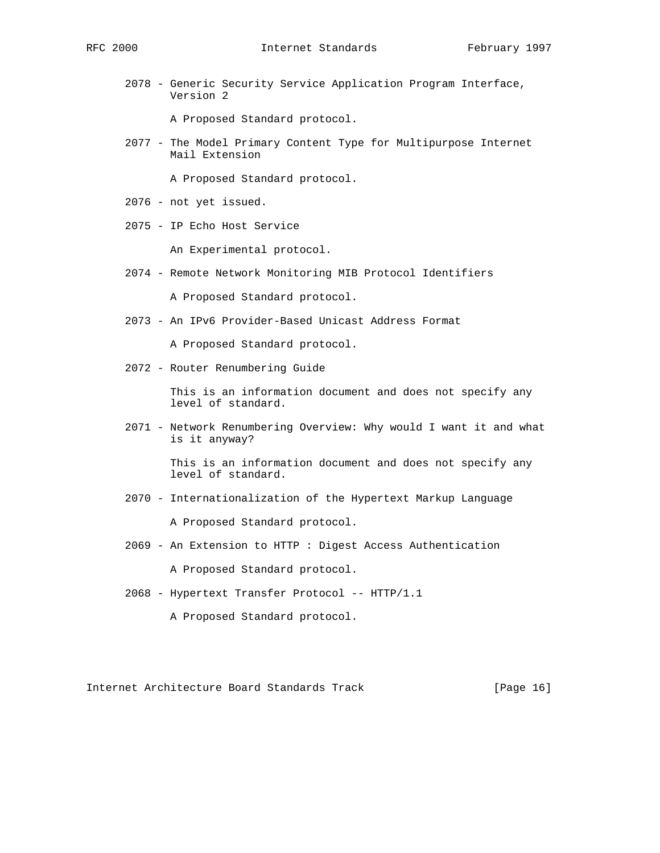2078 - Generic Security Service Application Program Interface, Version 2

A Proposed Standard protocol.

 2077 - The Model Primary Content Type for Multipurpose Internet Mail Extension

A Proposed Standard protocol.

- 2076 not yet issued.
- 2075 IP Echo Host Service

An Experimental protocol.

2074 - Remote Network Monitoring MIB Protocol Identifiers

A Proposed Standard protocol.

2073 - An IPv6 Provider-Based Unicast Address Format

A Proposed Standard protocol.

2072 - Router Renumbering Guide

 This is an information document and does not specify any level of standard.

 2071 - Network Renumbering Overview: Why would I want it and what is it anyway?

> This is an information document and does not specify any level of standard.

- 2070 Internationalization of the Hypertext Markup Language A Proposed Standard protocol.
- 2069 An Extension to HTTP : Digest Access Authentication

A Proposed Standard protocol.

2068 - Hypertext Transfer Protocol -- HTTP/1.1

A Proposed Standard protocol.

Internet Architecture Board Standards Track [Page 16]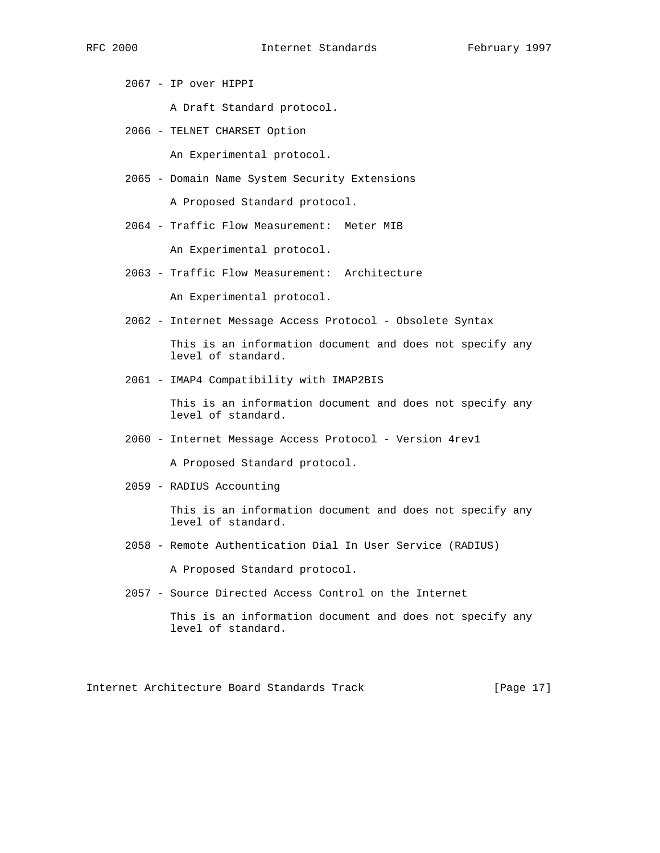2067 - IP over HIPPI

A Draft Standard protocol.

2066 - TELNET CHARSET Option

An Experimental protocol.

2065 - Domain Name System Security Extensions

A Proposed Standard protocol.

2064 - Traffic Flow Measurement: Meter MIB

An Experimental protocol.

- 2063 Traffic Flow Measurement: Architecture An Experimental protocol.
- 2062 Internet Message Access Protocol Obsolete Syntax

 This is an information document and does not specify any level of standard.

2061 - IMAP4 Compatibility with IMAP2BIS

 This is an information document and does not specify any level of standard.

2060 - Internet Message Access Protocol - Version 4rev1

A Proposed Standard protocol.

2059 - RADIUS Accounting

 This is an information document and does not specify any level of standard.

2058 - Remote Authentication Dial In User Service (RADIUS)

A Proposed Standard protocol.

2057 - Source Directed Access Control on the Internet

 This is an information document and does not specify any level of standard.

Internet Architecture Board Standards Track [Page 17]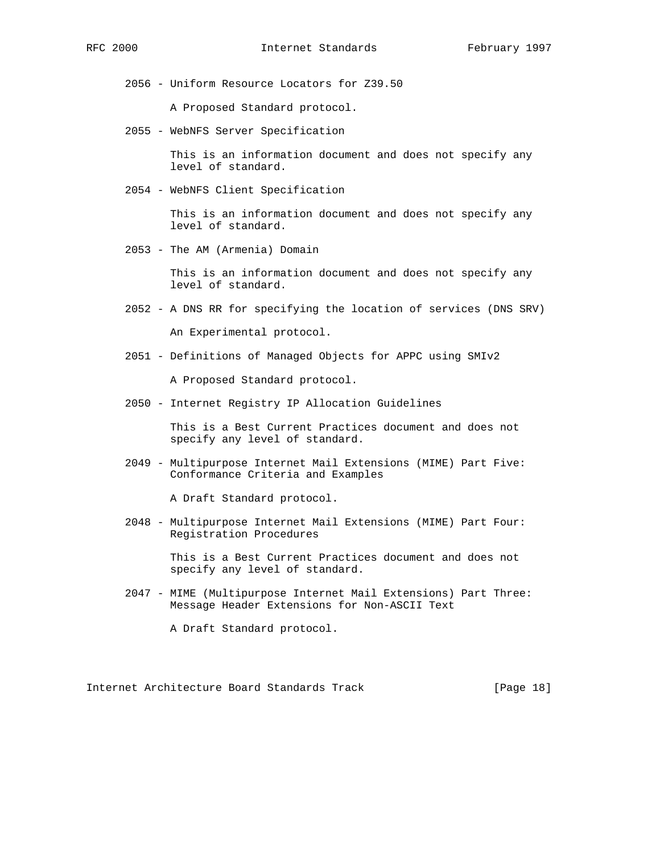2056 - Uniform Resource Locators for Z39.50

A Proposed Standard protocol.

2055 - WebNFS Server Specification

 This is an information document and does not specify any level of standard.

2054 - WebNFS Client Specification

 This is an information document and does not specify any level of standard.

2053 - The AM (Armenia) Domain

 This is an information document and does not specify any level of standard.

- 2052 A DNS RR for specifying the location of services (DNS SRV) An Experimental protocol.
- 2051 Definitions of Managed Objects for APPC using SMIv2

A Proposed Standard protocol.

2050 - Internet Registry IP Allocation Guidelines

 This is a Best Current Practices document and does not specify any level of standard.

 2049 - Multipurpose Internet Mail Extensions (MIME) Part Five: Conformance Criteria and Examples

A Draft Standard protocol.

 2048 - Multipurpose Internet Mail Extensions (MIME) Part Four: Registration Procedures

> This is a Best Current Practices document and does not specify any level of standard.

 2047 - MIME (Multipurpose Internet Mail Extensions) Part Three: Message Header Extensions for Non-ASCII Text

A Draft Standard protocol.

Internet Architecture Board Standards Track [Page 18]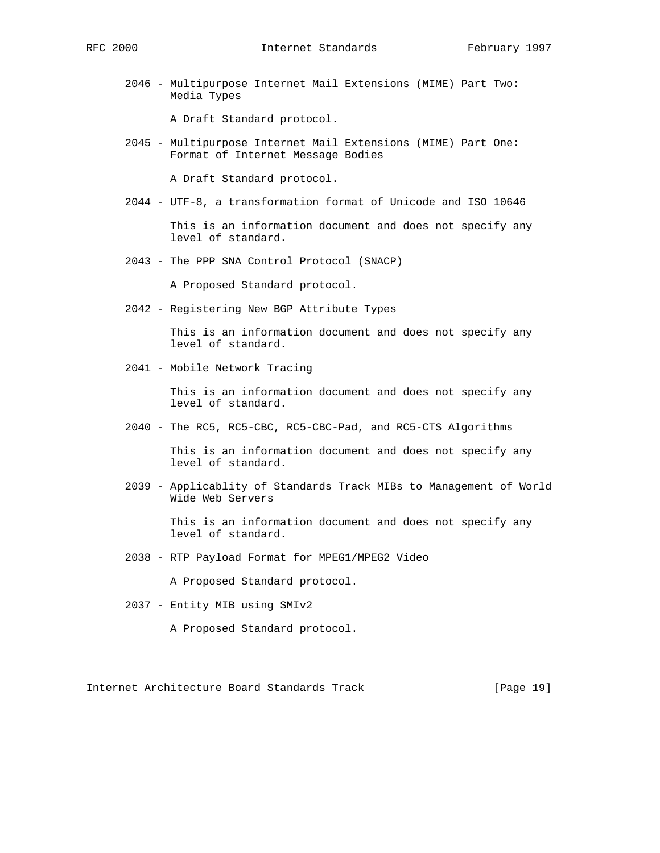2046 - Multipurpose Internet Mail Extensions (MIME) Part Two: Media Types

A Draft Standard protocol.

 2045 - Multipurpose Internet Mail Extensions (MIME) Part One: Format of Internet Message Bodies

A Draft Standard protocol.

2044 - UTF-8, a transformation format of Unicode and ISO 10646

 This is an information document and does not specify any level of standard.

2043 - The PPP SNA Control Protocol (SNACP)

A Proposed Standard protocol.

2042 - Registering New BGP Attribute Types

 This is an information document and does not specify any level of standard.

2041 - Mobile Network Tracing

 This is an information document and does not specify any level of standard.

2040 - The RC5, RC5-CBC, RC5-CBC-Pad, and RC5-CTS Algorithms

 This is an information document and does not specify any level of standard.

 2039 - Applicablity of Standards Track MIBs to Management of World Wide Web Servers

> This is an information document and does not specify any level of standard.

2038 - RTP Payload Format for MPEG1/MPEG2 Video

A Proposed Standard protocol.

2037 - Entity MIB using SMIv2

A Proposed Standard protocol.

Internet Architecture Board Standards Track [Page 19]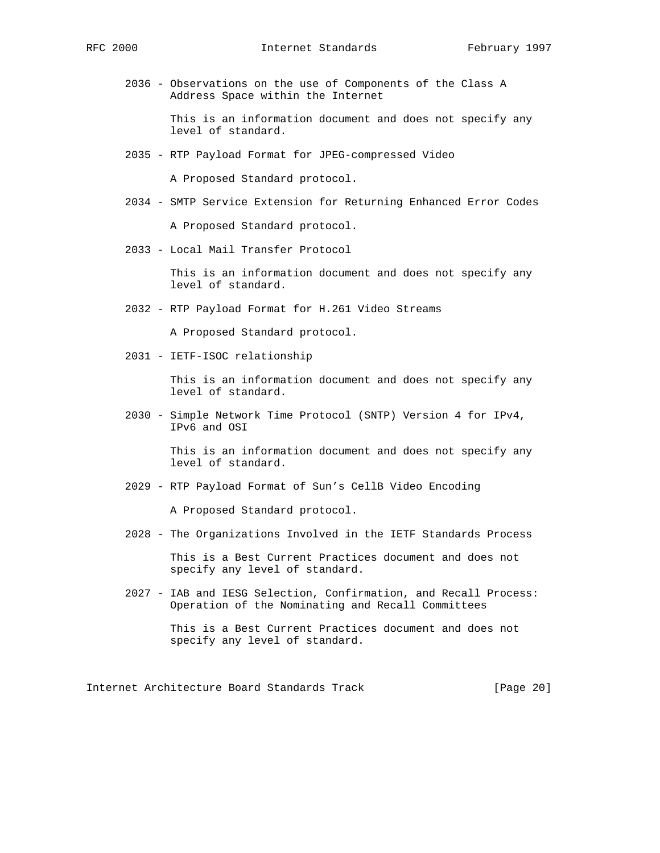2036 - Observations on the use of Components of the Class A Address Space within the Internet

> This is an information document and does not specify any level of standard.

2035 - RTP Payload Format for JPEG-compressed Video

A Proposed Standard protocol.

2034 - SMTP Service Extension for Returning Enhanced Error Codes

A Proposed Standard protocol.

2033 - Local Mail Transfer Protocol

 This is an information document and does not specify any level of standard.

2032 - RTP Payload Format for H.261 Video Streams

A Proposed Standard protocol.

2031 - IETF-ISOC relationship

 This is an information document and does not specify any level of standard.

 2030 - Simple Network Time Protocol (SNTP) Version 4 for IPv4, IPv6 and OSI

> This is an information document and does not specify any level of standard.

2029 - RTP Payload Format of Sun's CellB Video Encoding

A Proposed Standard protocol.

2028 - The Organizations Involved in the IETF Standards Process

 This is a Best Current Practices document and does not specify any level of standard.

 2027 - IAB and IESG Selection, Confirmation, and Recall Process: Operation of the Nominating and Recall Committees

> This is a Best Current Practices document and does not specify any level of standard.

Internet Architecture Board Standards Track [Page 20]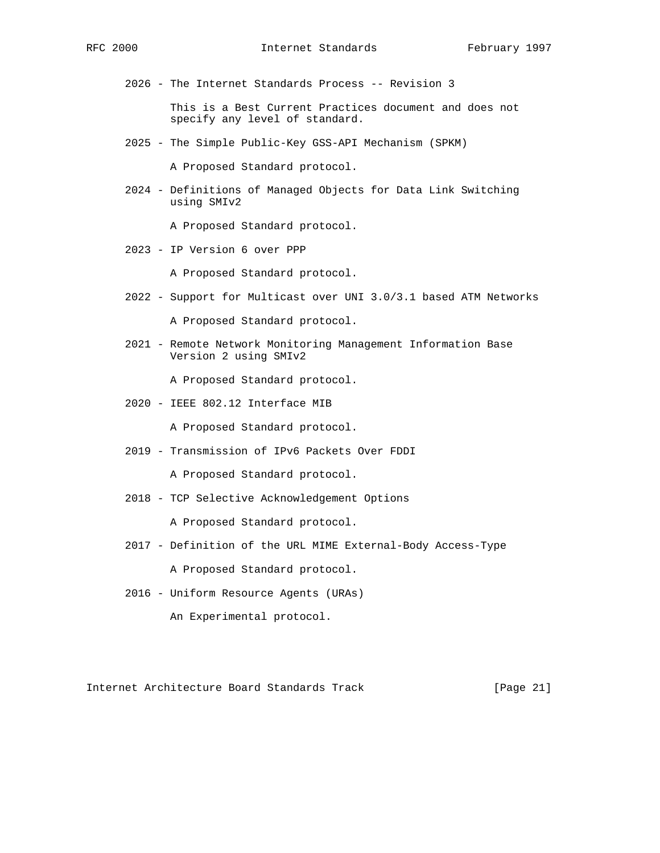2026 - The Internet Standards Process -- Revision 3

 This is a Best Current Practices document and does not specify any level of standard.

2025 - The Simple Public-Key GSS-API Mechanism (SPKM)

A Proposed Standard protocol.

 2024 - Definitions of Managed Objects for Data Link Switching using SMIv2

A Proposed Standard protocol.

2023 - IP Version 6 over PPP

A Proposed Standard protocol.

2022 - Support for Multicast over UNI 3.0/3.1 based ATM Networks

A Proposed Standard protocol.

 2021 - Remote Network Monitoring Management Information Base Version 2 using SMIv2

A Proposed Standard protocol.

2020 - IEEE 802.12 Interface MIB

A Proposed Standard protocol.

2019 - Transmission of IPv6 Packets Over FDDI

A Proposed Standard protocol.

2018 - TCP Selective Acknowledgement Options

A Proposed Standard protocol.

- 2017 Definition of the URL MIME External-Body Access-Type A Proposed Standard protocol.
- 2016 Uniform Resource Agents (URAs)

An Experimental protocol.

Internet Architecture Board Standards Track [Page 21]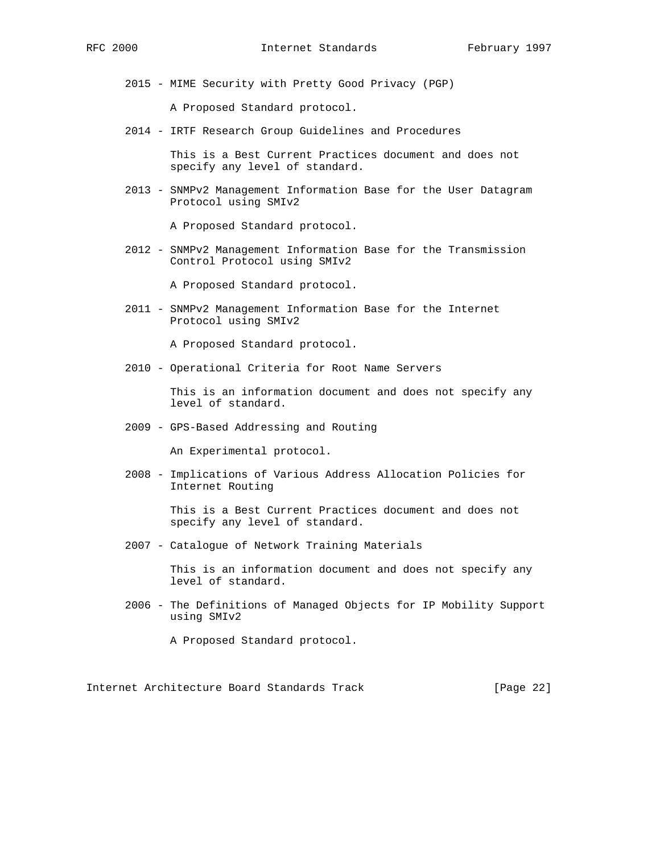2015 - MIME Security with Pretty Good Privacy (PGP)

A Proposed Standard protocol.

2014 - IRTF Research Group Guidelines and Procedures

 This is a Best Current Practices document and does not specify any level of standard.

 2013 - SNMPv2 Management Information Base for the User Datagram Protocol using SMIv2

A Proposed Standard protocol.

 2012 - SNMPv2 Management Information Base for the Transmission Control Protocol using SMIv2

A Proposed Standard protocol.

 2011 - SNMPv2 Management Information Base for the Internet Protocol using SMIv2

A Proposed Standard protocol.

2010 - Operational Criteria for Root Name Servers

 This is an information document and does not specify any level of standard.

2009 - GPS-Based Addressing and Routing

An Experimental protocol.

 2008 - Implications of Various Address Allocation Policies for Internet Routing

> This is a Best Current Practices document and does not specify any level of standard.

2007 - Catalogue of Network Training Materials

 This is an information document and does not specify any level of standard.

 2006 - The Definitions of Managed Objects for IP Mobility Support using SMIv2

A Proposed Standard protocol.

Internet Architecture Board Standards Track [Page 22]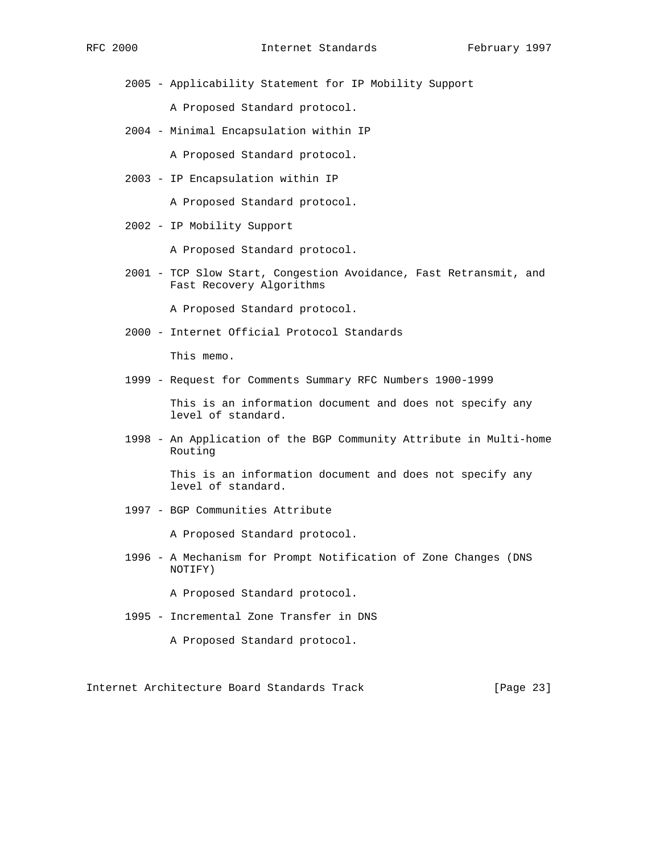2005 - Applicability Statement for IP Mobility Support

A Proposed Standard protocol.

2004 - Minimal Encapsulation within IP

A Proposed Standard protocol.

2003 - IP Encapsulation within IP

A Proposed Standard protocol.

2002 - IP Mobility Support

A Proposed Standard protocol.

 2001 - TCP Slow Start, Congestion Avoidance, Fast Retransmit, and Fast Recovery Algorithms

A Proposed Standard protocol.

2000 - Internet Official Protocol Standards

This memo.

1999 - Request for Comments Summary RFC Numbers 1900-1999

 This is an information document and does not specify any level of standard.

 1998 - An Application of the BGP Community Attribute in Multi-home Routing

> This is an information document and does not specify any level of standard.

1997 - BGP Communities Attribute

A Proposed Standard protocol.

 1996 - A Mechanism for Prompt Notification of Zone Changes (DNS NOTIFY)

A Proposed Standard protocol.

- 1995 Incremental Zone Transfer in DNS
	- A Proposed Standard protocol.

Internet Architecture Board Standards Track [Page 23]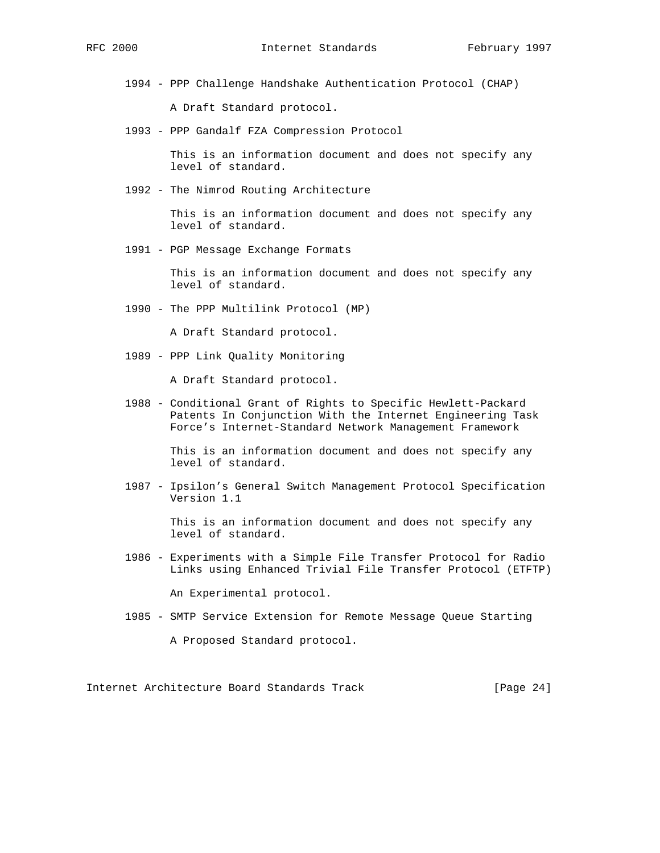1994 - PPP Challenge Handshake Authentication Protocol (CHAP)

A Draft Standard protocol.

1993 - PPP Gandalf FZA Compression Protocol

 This is an information document and does not specify any level of standard.

1992 - The Nimrod Routing Architecture

 This is an information document and does not specify any level of standard.

1991 - PGP Message Exchange Formats

 This is an information document and does not specify any level of standard.

1990 - The PPP Multilink Protocol (MP)

A Draft Standard protocol.

1989 - PPP Link Quality Monitoring

A Draft Standard protocol.

 1988 - Conditional Grant of Rights to Specific Hewlett-Packard Patents In Conjunction With the Internet Engineering Task Force's Internet-Standard Network Management Framework

> This is an information document and does not specify any level of standard.

 1987 - Ipsilon's General Switch Management Protocol Specification Version 1.1

> This is an information document and does not specify any level of standard.

 1986 - Experiments with a Simple File Transfer Protocol for Radio Links using Enhanced Trivial File Transfer Protocol (ETFTP)

An Experimental protocol.

1985 - SMTP Service Extension for Remote Message Queue Starting

A Proposed Standard protocol.

Internet Architecture Board Standards Track [Page 24]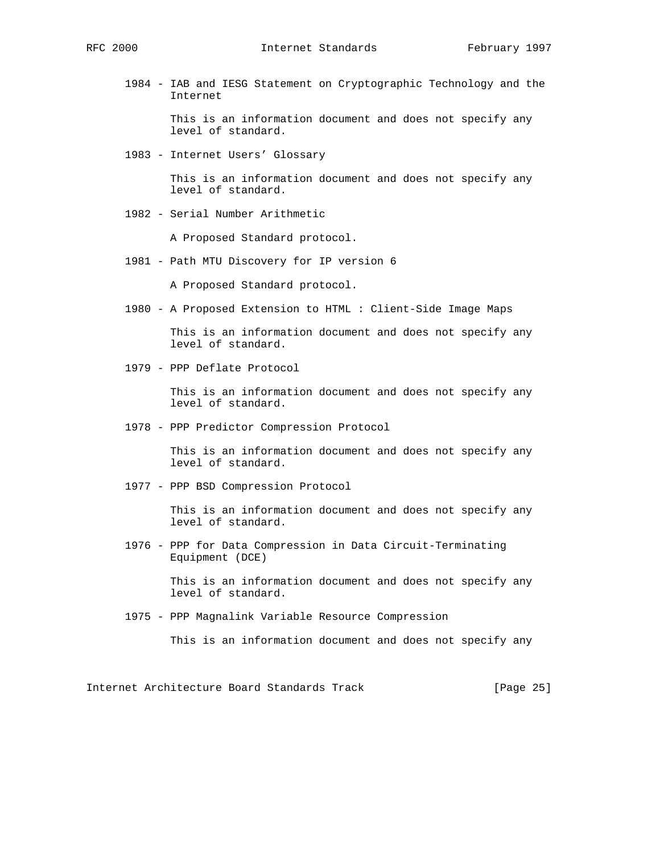1984 - IAB and IESG Statement on Cryptographic Technology and the Internet

> This is an information document and does not specify any level of standard.

1983 - Internet Users' Glossary

 This is an information document and does not specify any level of standard.

1982 - Serial Number Arithmetic

A Proposed Standard protocol.

1981 - Path MTU Discovery for IP version 6

A Proposed Standard protocol.

1980 - A Proposed Extension to HTML : Client-Side Image Maps

 This is an information document and does not specify any level of standard.

1979 - PPP Deflate Protocol

 This is an information document and does not specify any level of standard.

1978 - PPP Predictor Compression Protocol

 This is an information document and does not specify any level of standard.

1977 - PPP BSD Compression Protocol

 This is an information document and does not specify any level of standard.

 1976 - PPP for Data Compression in Data Circuit-Terminating Equipment (DCE)

> This is an information document and does not specify any level of standard.

1975 - PPP Magnalink Variable Resource Compression

This is an information document and does not specify any

Internet Architecture Board Standards Track [Page 25]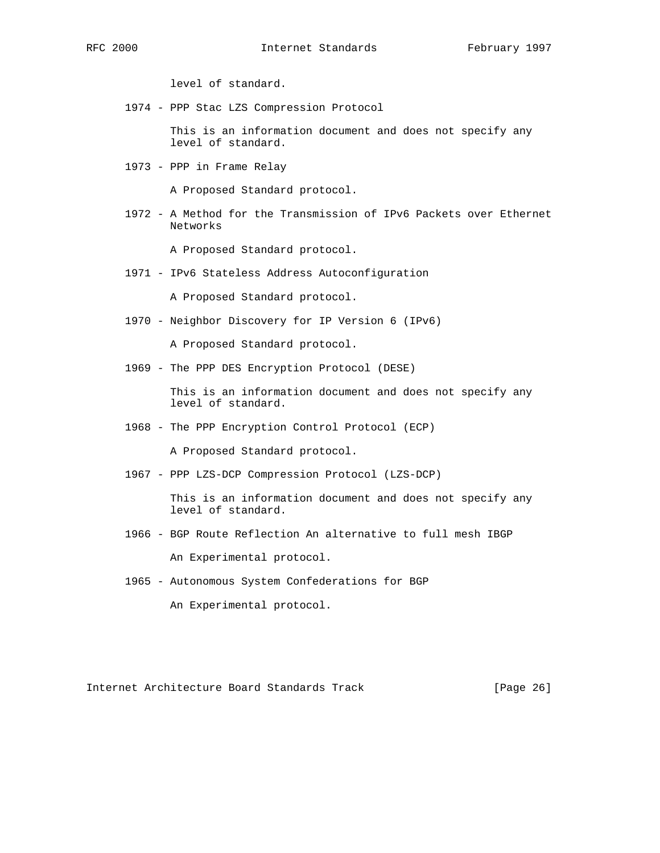level of standard.

1974 - PPP Stac LZS Compression Protocol

 This is an information document and does not specify any level of standard.

1973 - PPP in Frame Relay

A Proposed Standard protocol.

 1972 - A Method for the Transmission of IPv6 Packets over Ethernet Networks

A Proposed Standard protocol.

1971 - IPv6 Stateless Address Autoconfiguration

A Proposed Standard protocol.

1970 - Neighbor Discovery for IP Version 6 (IPv6)

A Proposed Standard protocol.

1969 - The PPP DES Encryption Protocol (DESE)

 This is an information document and does not specify any level of standard.

1968 - The PPP Encryption Control Protocol (ECP)

A Proposed Standard protocol.

1967 - PPP LZS-DCP Compression Protocol (LZS-DCP)

 This is an information document and does not specify any level of standard.

1966 - BGP Route Reflection An alternative to full mesh IBGP

An Experimental protocol.

1965 - Autonomous System Confederations for BGP

An Experimental protocol.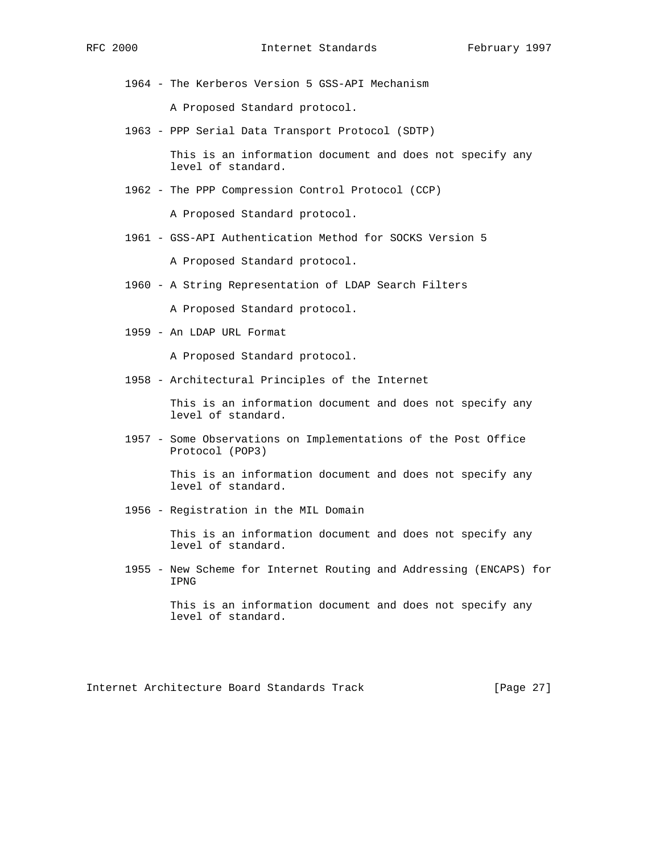1964 - The Kerberos Version 5 GSS-API Mechanism

A Proposed Standard protocol.

1963 - PPP Serial Data Transport Protocol (SDTP)

 This is an information document and does not specify any level of standard.

1962 - The PPP Compression Control Protocol (CCP)

A Proposed Standard protocol.

1961 - GSS-API Authentication Method for SOCKS Version 5

A Proposed Standard protocol.

1960 - A String Representation of LDAP Search Filters

A Proposed Standard protocol.

1959 - An LDAP URL Format

A Proposed Standard protocol.

1958 - Architectural Principles of the Internet

 This is an information document and does not specify any level of standard.

 1957 - Some Observations on Implementations of the Post Office Protocol (POP3)

> This is an information document and does not specify any level of standard.

1956 - Registration in the MIL Domain

 This is an information document and does not specify any level of standard.

 1955 - New Scheme for Internet Routing and Addressing (ENCAPS) for IPNG

> This is an information document and does not specify any level of standard.

Internet Architecture Board Standards Track [Page 27]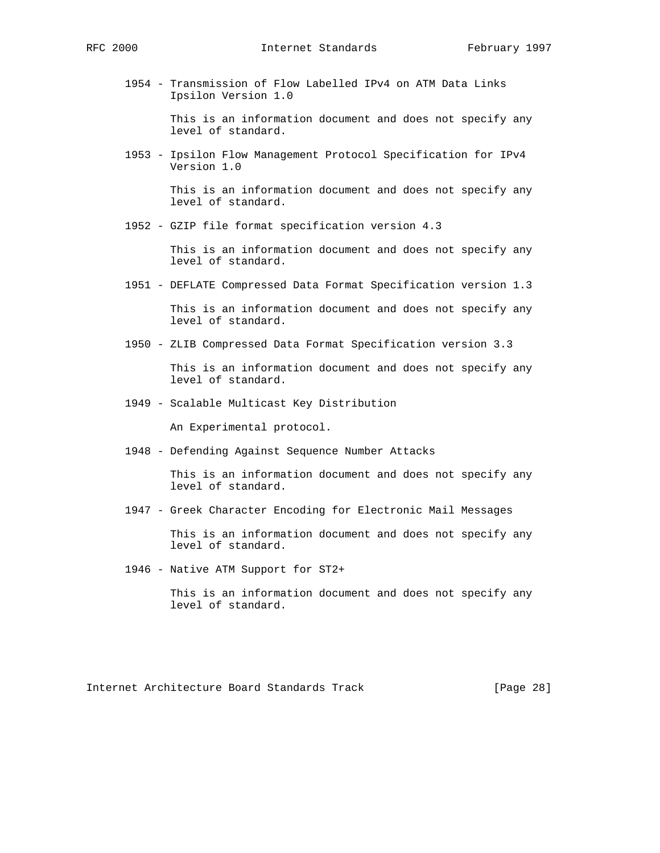1954 - Transmission of Flow Labelled IPv4 on ATM Data Links Ipsilon Version 1.0

> This is an information document and does not specify any level of standard.

 1953 - Ipsilon Flow Management Protocol Specification for IPv4 Version 1.0

> This is an information document and does not specify any level of standard.

1952 - GZIP file format specification version 4.3

 This is an information document and does not specify any level of standard.

1951 - DEFLATE Compressed Data Format Specification version 1.3

 This is an information document and does not specify any level of standard.

1950 - ZLIB Compressed Data Format Specification version 3.3

 This is an information document and does not specify any level of standard.

1949 - Scalable Multicast Key Distribution

An Experimental protocol.

1948 - Defending Against Sequence Number Attacks

 This is an information document and does not specify any level of standard.

1947 - Greek Character Encoding for Electronic Mail Messages

 This is an information document and does not specify any level of standard.

1946 - Native ATM Support for ST2+

 This is an information document and does not specify any level of standard.

Internet Architecture Board Standards Track [Page 28]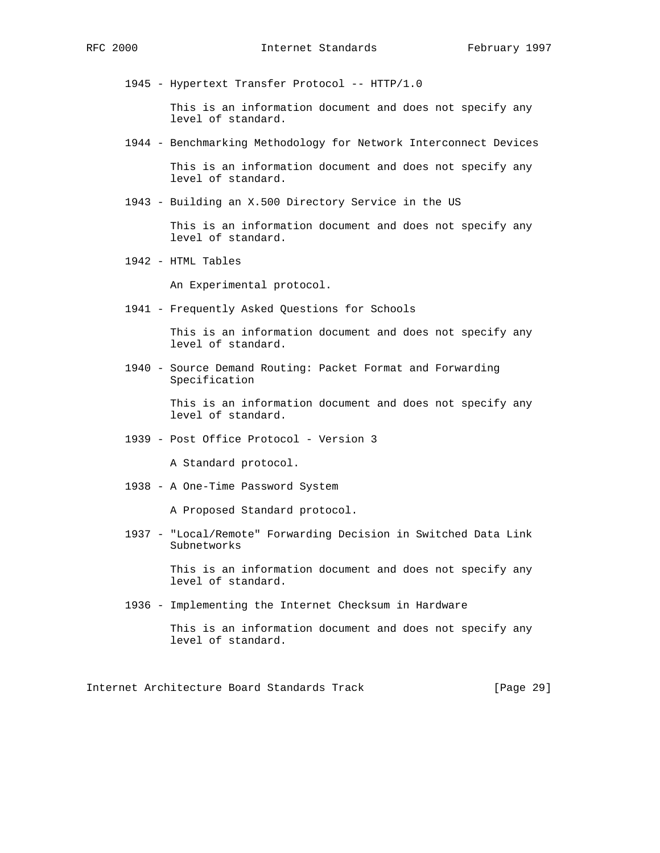1945 - Hypertext Transfer Protocol -- HTTP/1.0

 This is an information document and does not specify any level of standard.

1944 - Benchmarking Methodology for Network Interconnect Devices

 This is an information document and does not specify any level of standard.

1943 - Building an X.500 Directory Service in the US

 This is an information document and does not specify any level of standard.

1942 - HTML Tables

An Experimental protocol.

1941 - Frequently Asked Questions for Schools

 This is an information document and does not specify any level of standard.

 1940 - Source Demand Routing: Packet Format and Forwarding Specification

> This is an information document and does not specify any level of standard.

1939 - Post Office Protocol - Version 3

A Standard protocol.

1938 - A One-Time Password System

A Proposed Standard protocol.

 1937 - "Local/Remote" Forwarding Decision in Switched Data Link Subnetworks

> This is an information document and does not specify any level of standard.

1936 - Implementing the Internet Checksum in Hardware

Internet Architecture Board Standards Track [Page 29]

This is an information document and does not specify any level of standard.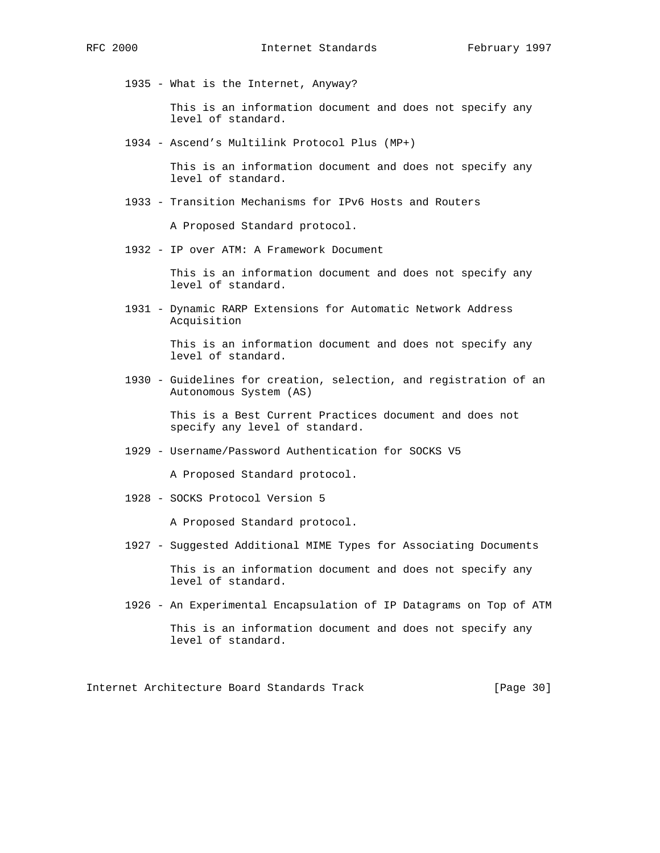1935 - What is the Internet, Anyway?

 This is an information document and does not specify any level of standard.

1934 - Ascend's Multilink Protocol Plus (MP+)

 This is an information document and does not specify any level of standard.

1933 - Transition Mechanisms for IPv6 Hosts and Routers

A Proposed Standard protocol.

1932 - IP over ATM: A Framework Document

 This is an information document and does not specify any level of standard.

 1931 - Dynamic RARP Extensions for Automatic Network Address Acquisition

> This is an information document and does not specify any level of standard.

 1930 - Guidelines for creation, selection, and registration of an Autonomous System (AS)

> This is a Best Current Practices document and does not specify any level of standard.

1929 - Username/Password Authentication for SOCKS V5

A Proposed Standard protocol.

1928 - SOCKS Protocol Version 5

A Proposed Standard protocol.

1927 - Suggested Additional MIME Types for Associating Documents

 This is an information document and does not specify any level of standard.

1926 - An Experimental Encapsulation of IP Datagrams on Top of ATM

 This is an information document and does not specify any level of standard.

Internet Architecture Board Standards Track [Page 30]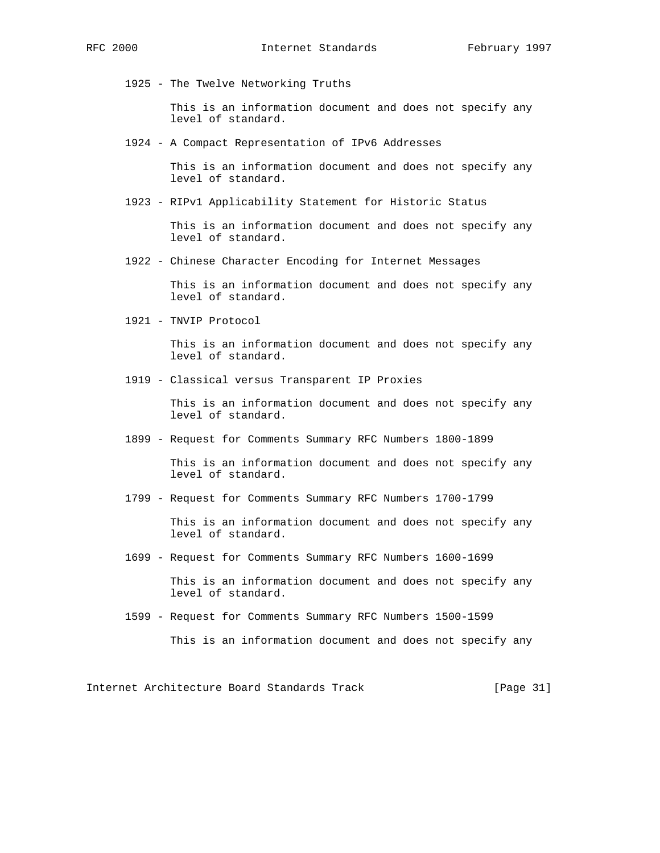1925 - The Twelve Networking Truths

 This is an information document and does not specify any level of standard.

1924 - A Compact Representation of IPv6 Addresses

 This is an information document and does not specify any level of standard.

1923 - RIPv1 Applicability Statement for Historic Status

 This is an information document and does not specify any level of standard.

1922 - Chinese Character Encoding for Internet Messages

 This is an information document and does not specify any level of standard.

1921 - TNVIP Protocol

 This is an information document and does not specify any level of standard.

1919 - Classical versus Transparent IP Proxies

 This is an information document and does not specify any level of standard.

1899 - Request for Comments Summary RFC Numbers 1800-1899

 This is an information document and does not specify any level of standard.

1799 - Request for Comments Summary RFC Numbers 1700-1799

 This is an information document and does not specify any level of standard.

1699 - Request for Comments Summary RFC Numbers 1600-1699

 This is an information document and does not specify any level of standard.

1599 - Request for Comments Summary RFC Numbers 1500-1599

This is an information document and does not specify any

Internet Architecture Board Standards Track [Page 31]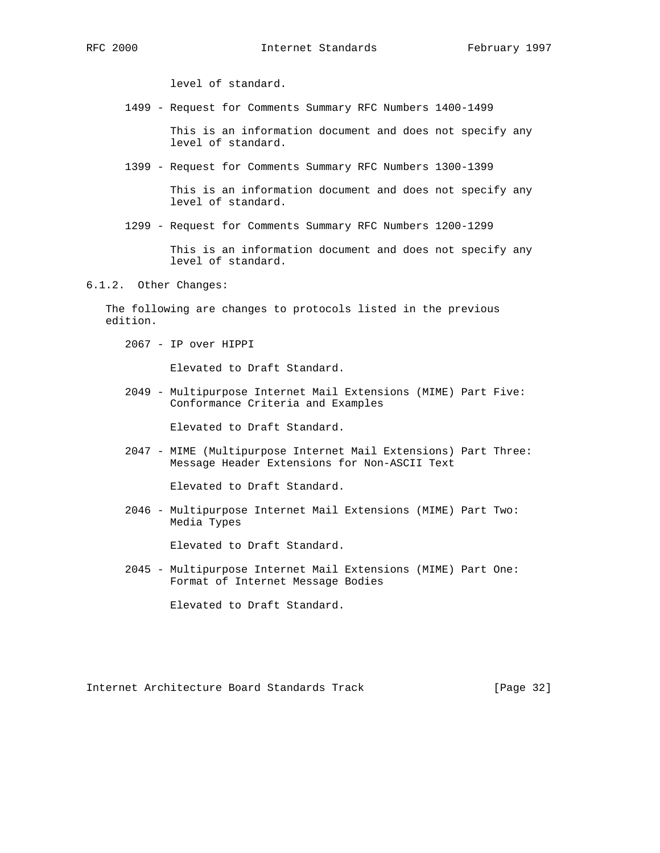level of standard.

1499 - Request for Comments Summary RFC Numbers 1400-1499

 This is an information document and does not specify any level of standard.

1399 - Request for Comments Summary RFC Numbers 1300-1399

 This is an information document and does not specify any level of standard.

1299 - Request for Comments Summary RFC Numbers 1200-1299

 This is an information document and does not specify any level of standard.

6.1.2. Other Changes:

 The following are changes to protocols listed in the previous edition.

2067 - IP over HIPPI

Elevated to Draft Standard.

 2049 - Multipurpose Internet Mail Extensions (MIME) Part Five: Conformance Criteria and Examples

Elevated to Draft Standard.

 2047 - MIME (Multipurpose Internet Mail Extensions) Part Three: Message Header Extensions for Non-ASCII Text

Elevated to Draft Standard.

 2046 - Multipurpose Internet Mail Extensions (MIME) Part Two: Media Types

Elevated to Draft Standard.

 2045 - Multipurpose Internet Mail Extensions (MIME) Part One: Format of Internet Message Bodies

Elevated to Draft Standard.

Internet Architecture Board Standards Track [Page 32]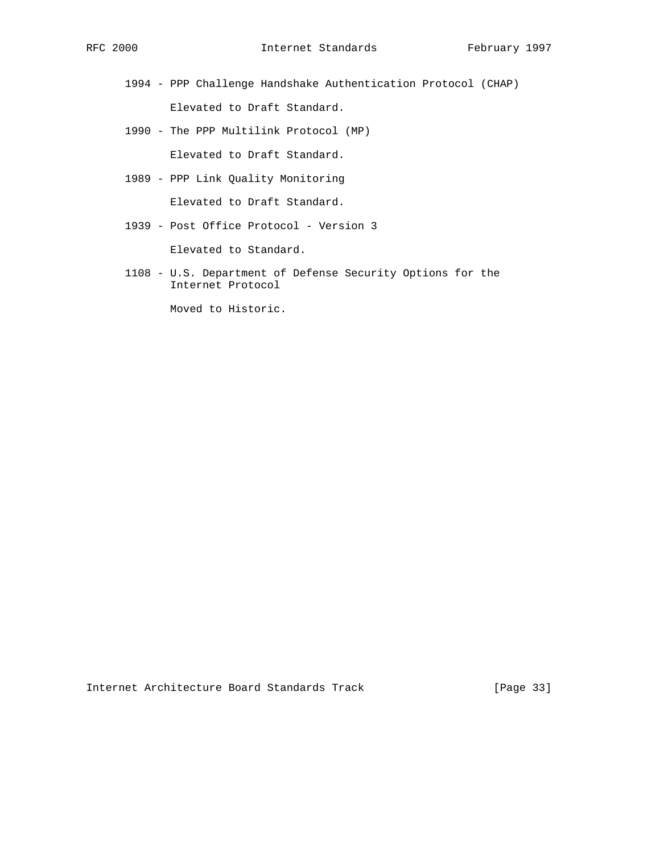1994 - PPP Challenge Handshake Authentication Protocol (CHAP)

Elevated to Draft Standard.

1990 - The PPP Multilink Protocol (MP)

Elevated to Draft Standard.

1989 - PPP Link Quality Monitoring

Elevated to Draft Standard.

1939 - Post Office Protocol - Version 3

Elevated to Standard.

 1108 - U.S. Department of Defense Security Options for the Internet Protocol

Moved to Historic.

Internet Architecture Board Standards Track [Page 33]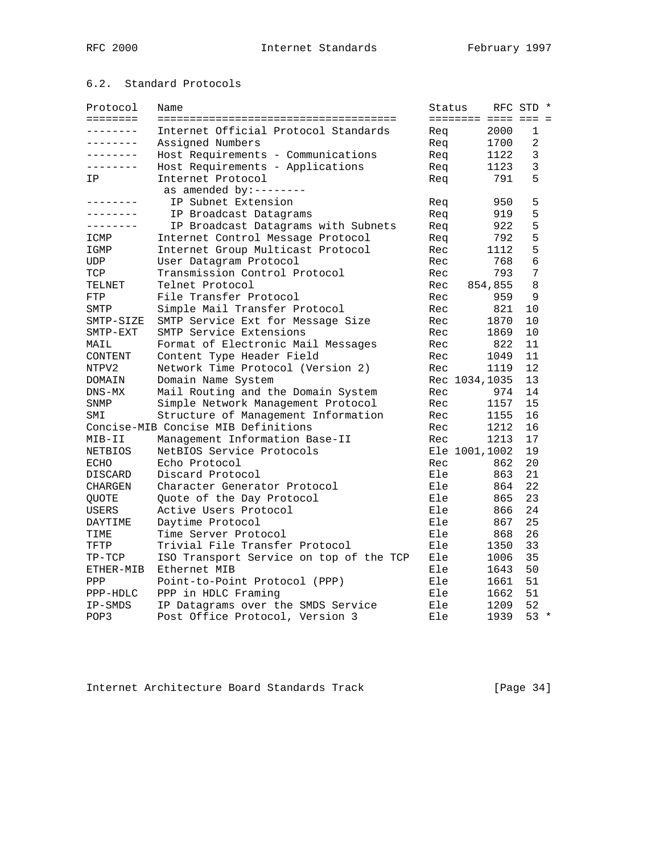# 6.2. Standard Protocols

| Protocol<br>======== | Name                                    | Status | ======== ==== === = | RFC STD *      |  |
|----------------------|-----------------------------------------|--------|---------------------|----------------|--|
| --------             | Internet Official Protocol Standards    | Req    | 2000                | 1              |  |
| ---------            | Assigned Numbers                        | Req    | 1700                | $\overline{2}$ |  |
| --------             | Host Requirements - Communications      | Req    | 1122                | 3              |  |
| $- - - - - - - -$    | Host Requirements - Applications        | Req    | 1123                | 3              |  |
| IP                   | Internet Protocol                       | Req    | 791                 | 5              |  |
|                      | as amended by:--------                  |        |                     |                |  |
| -------              | IP Subnet Extension                     | Req    | 950                 | 5              |  |
| --------             | IP Broadcast Datagrams                  | Req    | 919                 | 5              |  |
| --------             | IP Broadcast Datagrams with Subnets     | Req    | 922                 | 5              |  |
| ICMP                 | Internet Control Message Protocol       | Req    | 792                 | 5              |  |
| IGMP                 | Internet Group Multicast Protocol       | Rec    | 1112                | 5              |  |
| <b>UDP</b>           | User Datagram Protocol                  | Rec    | 768                 | 6              |  |
| TCP                  | Transmission Control Protocol           | Rec    | 793                 | 7              |  |
| TELNET               | Telnet Protocol                         | Rec    | 854,855             | 8              |  |
| FTP                  | File Transfer Protocol                  | Rec    | 959                 | 9              |  |
| SMTP                 | Simple Mail Transfer Protocol           | Rec    | 821                 | 10             |  |
| SMTP-SIZE            | SMTP Service Ext for Message Size       | Rec    | 1870                | 10             |  |
| SMTP-EXT             | SMTP Service Extensions                 | Rec    | 1869                | 10             |  |
| MAIL                 | Format of Electronic Mail Messages      | Rec    | 822                 | 11             |  |
| CONTENT              | Content Type Header Field               | Rec    | 1049                | 11             |  |
| NTPV2                | Network Time Protocol (Version 2)       | Rec    | 1119                | 12             |  |
| DOMAIN               | Domain Name System                      |        | Rec 1034, 1035      | 13             |  |
| $DNS-MX$             | Mail Routing and the Domain System      | Rec    | 974                 | 14             |  |
| SNMP                 | Simple Network Management Protocol      | Rec    | 1157                | 15             |  |
| SMI                  | Structure of Management Information     | Rec    | 1155                | 16             |  |
|                      | Concise-MIB Concise MIB Definitions     | Rec    | 1212                | 16             |  |
| MIB-II               | Management Information Base-II          | Rec    | 1213                | 17             |  |
| NETBIOS              | NetBIOS Service Protocols               |        | Ele 1001,1002       | 19             |  |
| ECHO                 | Echo Protocol                           | Rec    | 862                 | 20             |  |
| DISCARD              | Discard Protocol                        | Ele    | 863                 | 21             |  |
| CHARGEN              | Character Generator Protocol            | Ele    | 864                 | 22             |  |
| QUOTE                | Quote of the Day Protocol               | Ele    | 865                 | 23             |  |
| USERS                | Active Users Protocol                   | Ele    | 866                 | 24             |  |
| DAYTIME              | Daytime Protocol                        | Ele    | 867                 | 25             |  |
| TIME                 | Time Server Protocol                    | Ele    | 868                 | 26             |  |
| TFTP                 | Trivial File Transfer Protocol          | Ele    | 1350                | 33             |  |
| $TP-TCP$             | ISO Transport Service on top of the TCP | Ele    | 1006                | 35             |  |
| ETHER-MIB            | Ethernet MIB                            | Ele    | 1643                | 50             |  |
| PPP                  | Point-to-Point Protocol (PPP)           | Ele    | 1661                | 51             |  |
| PPP-HDLC             | PPP in HDLC Framing                     | Ele    | 1662                | 51             |  |
| IP-SMDS              | IP Datagrams over the SMDS Service      | Ele    | 1209                | 52             |  |
| POP3                 | Post Office Protocol, Version 3         | Ele    | 1939                | $53 *$         |  |

Internet Architecture Board Standards Track [Page 34]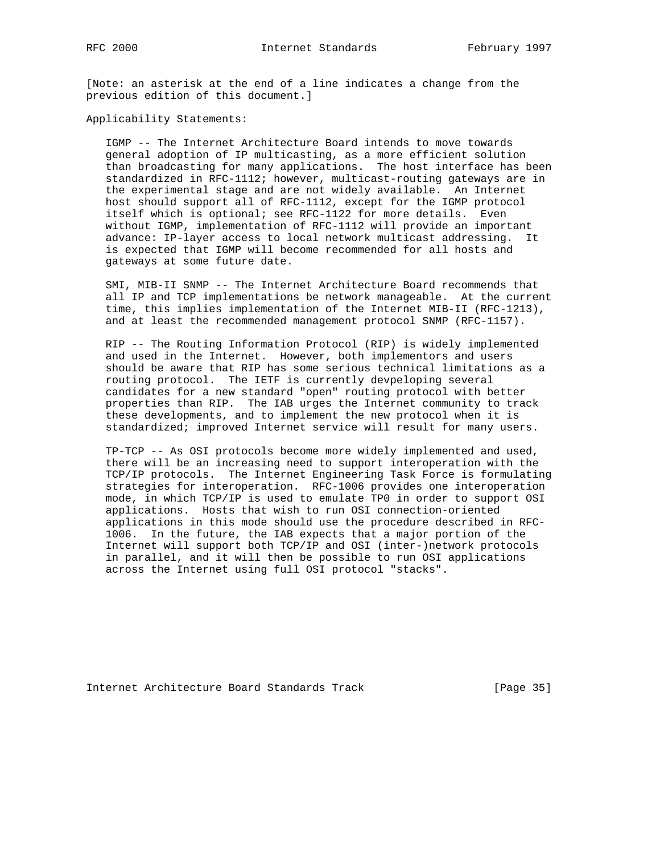[Note: an asterisk at the end of a line indicates a change from the previous edition of this document.]

Applicability Statements:

 IGMP -- The Internet Architecture Board intends to move towards general adoption of IP multicasting, as a more efficient solution than broadcasting for many applications. The host interface has been standardized in RFC-1112; however, multicast-routing gateways are in the experimental stage and are not widely available. An Internet host should support all of RFC-1112, except for the IGMP protocol itself which is optional; see RFC-1122 for more details. Even without IGMP, implementation of RFC-1112 will provide an important advance: IP-layer access to local network multicast addressing. It is expected that IGMP will become recommended for all hosts and gateways at some future date.

 SMI, MIB-II SNMP -- The Internet Architecture Board recommends that all IP and TCP implementations be network manageable. At the current time, this implies implementation of the Internet MIB-II (RFC-1213), and at least the recommended management protocol SNMP (RFC-1157).

 RIP -- The Routing Information Protocol (RIP) is widely implemented and used in the Internet. However, both implementors and users should be aware that RIP has some serious technical limitations as a routing protocol. The IETF is currently devpeloping several candidates for a new standard "open" routing protocol with better properties than RIP. The IAB urges the Internet community to track these developments, and to implement the new protocol when it is standardized; improved Internet service will result for many users.

 TP-TCP -- As OSI protocols become more widely implemented and used, there will be an increasing need to support interoperation with the TCP/IP protocols. The Internet Engineering Task Force is formulating strategies for interoperation. RFC-1006 provides one interoperation mode, in which TCP/IP is used to emulate TP0 in order to support OSI applications. Hosts that wish to run OSI connection-oriented applications in this mode should use the procedure described in RFC- 1006. In the future, the IAB expects that a major portion of the Internet will support both TCP/IP and OSI (inter-)network protocols in parallel, and it will then be possible to run OSI applications across the Internet using full OSI protocol "stacks".

Internet Architecture Board Standards Track [Page 35]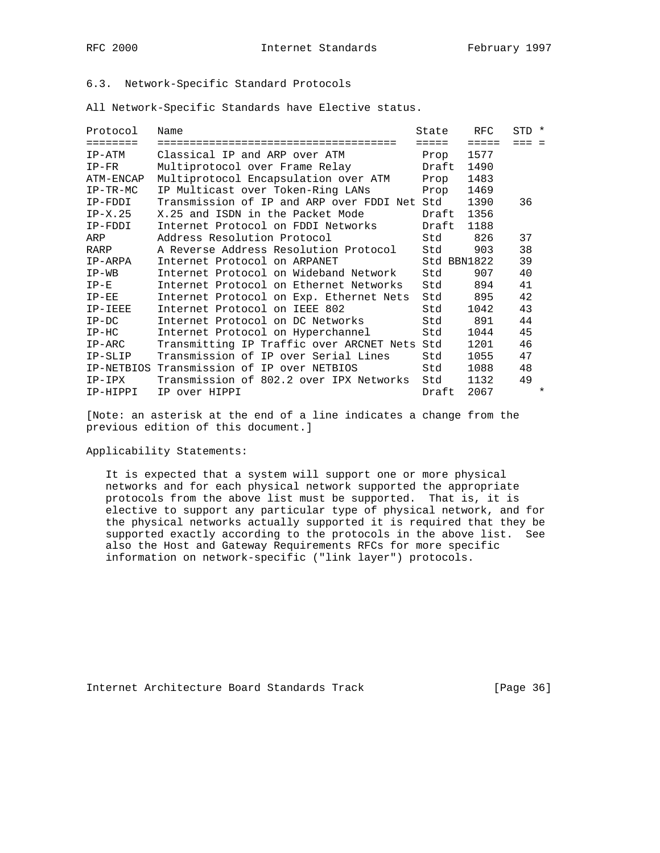# 6.3. Network-Specific Standard Protocols

All Network-Specific Standards have Elective status.

| Protocol                                                                        | Name                                         | State       | RFC.            | STD *   |
|---------------------------------------------------------------------------------|----------------------------------------------|-------------|-----------------|---------|
| $\begin{array}{cccccccccccccc} = & = & = & = & = & = & = & = & = & \end{array}$ | ==================================           | =====       | $=$ $=$ $=$ $=$ | $=$     |
| IP-ATM                                                                          | Classical IP and ARP over ATM                | Prop        | 1577            |         |
| $IP-FR$                                                                         | Multiprotocol over Frame Relay               | Draft       | 1490            |         |
| ATM-ENCAP                                                                       | Multiprotocol Encapsulation over ATM         | Prop        | 1483            |         |
| $IP-TR-MC$                                                                      | IP Multicast over Token-Ring LANs            | Prop        | 1469            |         |
| IP-FDDI                                                                         | Transmission of IP and ARP over FDDI Net Std |             | 1390            | 36      |
| $IP-X.25$                                                                       | X.25 and ISDN in the Packet Mode             | Draft       | 1356            |         |
| IP-FDDI                                                                         | Internet Protocol on FDDI Networks           | Draft       | 1188            |         |
| ARP                                                                             | Address Resolution Protocol                  | Std         | 826             | 37      |
| RARP                                                                            | A Reverse Address Resolution Protocol        | Std         | 903             | 38      |
| IP-ARPA                                                                         | Internet Protocol on ARPANET                 | Std BBN1822 |                 | 39      |
| $IP-WB$                                                                         | Internet Protocol on Wideband Network        | Std         | 907             | 40      |
| $IP-E$                                                                          | Internet Protocol on Ethernet Networks       | Std         | 894             | 41      |
| $IP-EE$                                                                         | Internet Protocol on Exp. Ethernet Nets      | Std         | 895             | 42      |
| IP-IEEE                                                                         | Internet Protocol on IEEE 802                | Std         | 1042            | 43      |
| $IP-DC$                                                                         | Internet Protocol on DC Networks             | Std         | 891             | 44      |
| $IP-HC$                                                                         | Internet Protocol on Hyperchannel            | Std         | 1044            | 45      |
| IP-ARC                                                                          | Transmitting IP Traffic over ARCNET Nets Std |             | 1201            | 46      |
| IP-SLIP                                                                         | Transmission of IP over Serial Lines         | Std         | 1055            | 47      |
|                                                                                 | IP-NETBIOS Transmission of IP over NETBIOS   | Std         | 1088            | 48      |
| IP-IPX                                                                          | Transmission of 802.2 over IPX Networks      | Std         | 1132            | 49      |
| IP-HIPPI                                                                        | IP over HIPPI                                | Draft       | 2067            | $\star$ |

[Note: an asterisk at the end of a line indicates a change from the previous edition of this document.]

Applicability Statements:

 It is expected that a system will support one or more physical networks and for each physical network supported the appropriate protocols from the above list must be supported. That is, it is elective to support any particular type of physical network, and for the physical networks actually supported it is required that they be supported exactly according to the protocols in the above list. See also the Host and Gateway Requirements RFCs for more specific information on network-specific ("link layer") protocols.

Internet Architecture Board Standards Track [Page 36]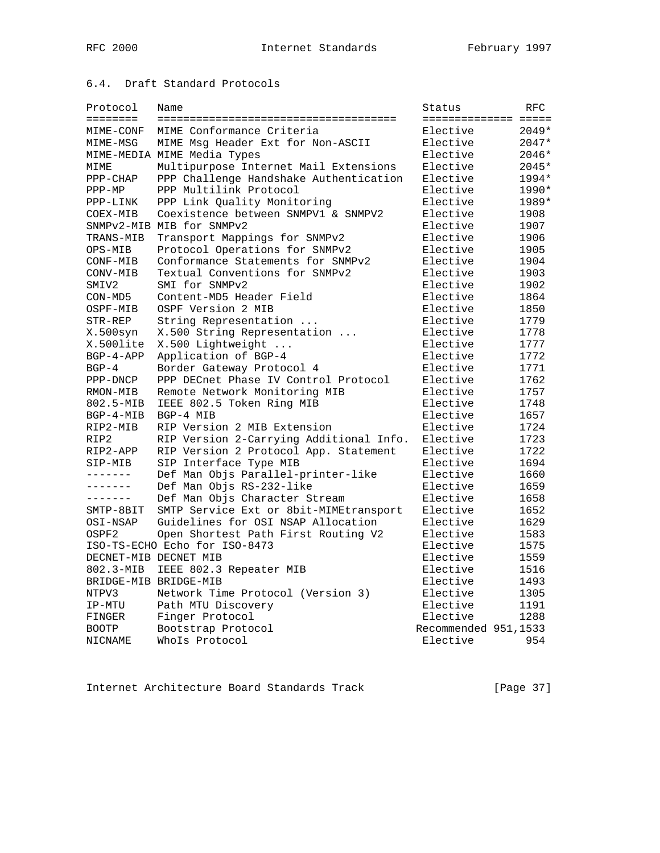# 6.4. Draft Standard Protocols

| Protocol<br><b>EEEEEEEE</b> | Name                                    | Status<br>===================== | RFC     |
|-----------------------------|-----------------------------------------|---------------------------------|---------|
| MIME-CONF                   | MIME Conformance Criteria               | Elective                        | $2049*$ |
| MIME-MSG                    | MIME Msq Header Ext for Non-ASCII       | Elective                        | $2047*$ |
|                             | MIME-MEDIA MIME Media Types             | Elective                        | 2046*   |
| MIME                        | Multipurpose Internet Mail Extensions   | Elective                        | 2045*   |
| $PPP-CHAP$                  | PPP Challenge Handshake Authentication  | Elective                        | 1994*   |
| $PPP-MP$                    | PPP Multilink Protocol                  | Elective                        | 1990*   |
| PPP-LINK                    | PPP Link Quality Monitoring             | Elective                        | 1989*   |
| COEX-MIB                    | Coexistence between SNMPV1 & SNMPV2     | Elective                        | 1908    |
|                             | SNMPv2-MIB MIB for SNMPv2               | Elective                        | 1907    |
| TRANS-MIB                   | Transport Mappings for SNMPv2           | Elective                        | 1906    |
| OPS-MIB                     | Protocol Operations for SNMPv2          | Elective                        | 1905    |
| CONF-MIB                    | Conformance Statements for SNMPv2       | Elective                        | 1904    |
| CONV-MIB                    | Textual Conventions for SNMPv2          | Elective                        | 1903    |
| SMIV2                       | SMI for SNMPv2                          | Elective                        | 1902    |
| CON-MD5                     | Content-MD5 Header Field                | Elective                        | 1864    |
| OSPF-MIB                    | OSPF Version 2 MIB                      | Elective                        | 1850    |
| STR-REP                     | String Representation                   | Elective                        | 1779    |
| X.500syn                    | X.500 String Representation             | Elective                        | 1778    |
| X.500lite                   | X.500 Lightweight                       | Elective                        | 1777    |
| $BGP-4-APP$                 | Application of BGP-4                    | Elective                        | 1772    |
| $BGP-4$                     | Border Gateway Protocol 4               | Elective                        | 1771    |
| PPP-DNCP                    | PPP DECnet Phase IV Control Protocol    | Elective                        | 1762    |
| RMON-MIB                    | Remote Network Monitoring MIB           | Elective                        | 1757    |
| 802.5-MIB                   | IEEE 802.5 Token Ring MIB               | Elective                        | 1748    |
| $BGP-4-MIB$                 | BGP-4 MIB                               | Elective                        | 1657    |
| RIP2-MIB                    | RIP Version 2 MIB Extension             | Elective                        | 1724    |
| RIP2                        | RIP Version 2-Carrying Additional Info. | Elective                        | 1723    |
| RIP2-APP                    | RIP Version 2 Protocol App. Statement   | Elective                        | 1722    |
| SIP-MIB                     | SIP Interface Type MIB                  | Elective                        | 1694    |
| -------                     | Def Man Objs Parallel-printer-like      | Elective                        | 1660    |
| -------                     | Def Man Objs RS-232-like                | Elective                        | 1659    |
| --------                    | Def Man Objs Character Stream           | Elective                        | 1658    |
| SMTP-8BIT                   | SMTP Service Ext or 8bit-MIMEtransport  | Elective                        | 1652    |
| OSI-NSAP                    | Guidelines for OSI NSAP Allocation      | Elective                        | 1629    |
| OSPF2                       | Open Shortest Path First Routing V2     | Elective                        | 1583    |
|                             | ISO-TS-ECHO Echo for ISO-8473           | Elective                        | 1575    |
|                             | DECNET-MIB DECNET MIB                   | Elective                        | 1559    |
| 802.3-MIB                   | IEEE 802.3 Repeater MIB                 | Elective                        | 1516    |
|                             | BRIDGE-MIB BRIDGE-MIB                   | Elective                        | 1493    |
| NTPV3                       | Network Time Protocol (Version 3)       | Elective                        | 1305    |
| IP-MTU                      | Path MTU Discovery                      | Elective                        | 1191    |
| FINGER                      | Finger Protocol                         | Elective                        | 1288    |
| <b>BOOTP</b>                | Bootstrap Protocol                      | Recommended 951,1533            |         |
| NICNAME                     | WhoIs Protocol                          | Elective                        | 954     |
|                             |                                         |                                 |         |

Internet Architecture Board Standards Track [Page 37]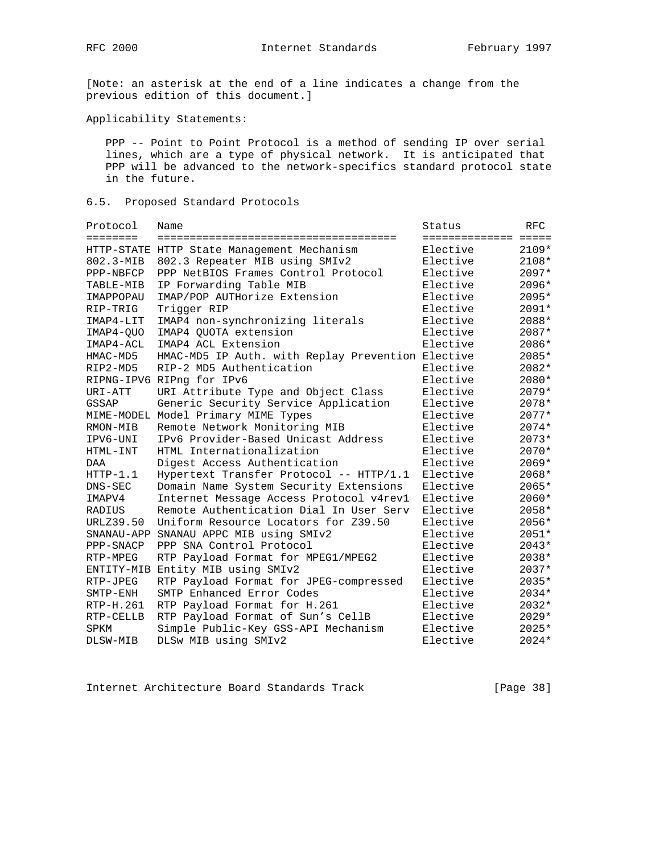[Note: an asterisk at the end of a line indicates a change from the previous edition of this document.]

Applicability Statements:

 PPP -- Point to Point Protocol is a method of sending IP over serial lines, which are a type of physical network. It is anticipated that PPP will be advanced to the network-specifics standard protocol state in the future.

## 6.5. Proposed Standard Protocols

| Protocol   | Name                                              | Status                | <b>RFC</b> |
|------------|---------------------------------------------------|-----------------------|------------|
| ========   |                                                   | ===================== |            |
|            | HTTP-STATE HTTP State Management Mechanism        | Elective              | $2109*$    |
| 802.3-MIB  | 802.3 Repeater MIB using SMIv2                    | Elective              | $2108*$    |
| PPP-NBFCP  | PPP NetBIOS Frames Control Protocol               | Elective              | 2097*      |
| TABLE-MIB  | IP Forwarding Table MIB                           | Elective              | 2096*      |
| IMAPPOPAU  | IMAP/POP AUTHorize Extension                      | Elective              | 2095*      |
| RIP-TRIG   | Trigger RIP                                       | Elective              | $2091*$    |
| IMAP4-LIT  | IMAP4 non-synchronizing literals                  | Elective              | $2088*$    |
| IMAP4-OUO  | IMAP4 OUOTA extension                             | Elective              | $2087*$    |
| IMAP4-ACL  | IMAP4 ACL Extension                               | Elective              | 2086*      |
| HMAC-MD5   | HMAC-MD5 IP Auth. with Replay Prevention Elective |                       | 2085*      |
| RIP2-MD5   | RIP-2 MD5 Authentication                          | Elective              | 2082*      |
|            | RIPNG-IPV6 RIPng for IPv6                         | Elective              | 2080*      |
| URI-ATT    | URI Attribute Type and Object Class               | Elective              | $2079*$    |
| GSSAP      | Generic Security Service Application              | Elective              | 2078*      |
|            | MIME-MODEL Model Primary MIME Types               | Elective              | 2077*      |
| RMON-MIB   | Remote Network Monitoring MIB                     | Elective              | $2074*$    |
| IPV6-UNI   | IPv6 Provider-Based Unicast Address               | Elective              | $2073*$    |
| HTML-INT   | HTML Internationalization                         | Elective              | $2070*$    |
| <b>DAA</b> | Digest Access Authentication                      | Elective              | $2069*$    |
| $HTTP-1.1$ | Hypertext Transfer Protocol -- HTTP/1.1           | Elective              | 2068*      |
| DNS-SEC    | Domain Name System Security Extensions            | Elective              | 2065*      |
| IMAPV4     | Internet Message Access Protocol v4rev1           | Elective              | 2060*      |
| RADIUS     | Remote Authentication Dial In User Serv           | Elective              | 2058*      |
| URLZ39.50  | Uniform Resource Locators for Z39.50              | Elective              | 2056*      |
| SNANAU-APP | SNANAU APPC MIB using SMIv2                       | Elective              | $2051*$    |
| PPP-SNACP  | PPP SNA Control Protocol                          | Elective              | $2043*$    |
| RTP-MPEG   | RTP Payload Format for MPEG1/MPEG2                | Elective              | 2038*      |
| ENTITY-MIB | Entity MIB using SMIv2                            | Elective              | 2037*      |
| RTP-JPEG   | RTP Payload Format for JPEG-compressed            | Elective              | $2035*$    |
| SMTP-ENH   | SMTP Enhanced Error Codes                         | Elective              | 2034*      |
| RTP-H.261  | RTP Payload Format for H.261                      | Elective              | 2032*      |
| RTP-CELLB  | RTP Payload Format of Sun's CellB                 | Elective              | $2029*$    |
| SPKM       | Simple Public-Key GSS-API Mechanism               | Elective              | $2025*$    |
| DLSW-MIB   | DLSw MIB using SMIv2                              | Elective              | $2024*$    |

Internet Architecture Board Standards Track [Page 38]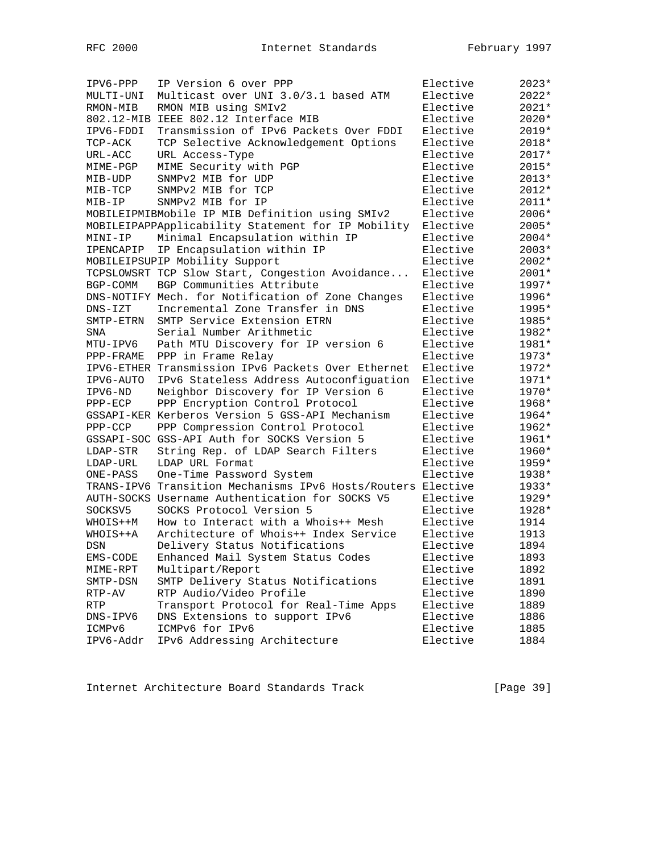| IPV6-PPP    | IP Version 6 over PPP                                        | Elective | $2023*$ |
|-------------|--------------------------------------------------------------|----------|---------|
| MULTI-UNI   | Multicast over UNI 3.0/3.1 based ATM                         | Elective | $2022*$ |
| RMON-MIB    | RMON MIB using SMIv2                                         | Elective | $2021*$ |
|             | 802.12-MIB IEEE 802.12 Interface MIB                         | Elective | 2020*   |
| IPV6-FDDI   | Transmission of IPv6 Packets Over FDDI                       | Elective | 2019*   |
| TCP-ACK     | TCP Selective Acknowledgement Options                        | Elective | $2018*$ |
| URL-ACC     | URL Access-Type                                              | Elective | 2017*   |
| MIME-PGP    | MIME Security with PGP                                       | Elective | 2015*   |
| MIB-UDP     | SNMPv2 MIB for UDP                                           | Elective | $2013*$ |
| MIB-TCP     | SNMPv2 MIB for TCP                                           | Elective | $2012*$ |
| MIB-IP      | SNMPv2 MIB for IP                                            | Elective | $2011*$ |
|             | MOBILEIPMIBMobile IP MIB Definition using SMIv2              | Elective | 2006*   |
|             | MOBILEIPAPPApplicability Statement for IP Mobility           | Elective | 2005*   |
| MINI-IP     | Minimal Encapsulation within IP                              | Elective | $2004*$ |
| IPENCAPIP   | IP Encapsulation within IP                                   | Elective | $2003*$ |
|             | MOBILEIPSUPIP Mobility Support                               | Elective | 2002*   |
|             | TCPSLOWSRT TCP Slow Start, Congestion Avoidance              | Elective | $2001*$ |
| BGP-COMM    | BGP Communities Attribute                                    | Elective | 1997*   |
|             | DNS-NOTIFY Mech. for Notification of Zone Changes            | Elective | 1996*   |
| $DNS - IZT$ | Incremental Zone Transfer in DNS                             | Elective | 1995*   |
| SMTP-ETRN   | SMTP Service Extension ETRN                                  | Elective | 1985*   |
| SNA         | Serial Number Arithmetic                                     | Elective | 1982*   |
| MTU-IPV6    | Path MTU Discovery for IP version 6                          | Elective | 1981*   |
| PPP-FRAME   | PPP in Frame Relay                                           | Elective | 1973*   |
|             | IPV6-ETHER Transmission IPv6 Packets Over Ethernet           | Elective | 1972*   |
| IPV6-AUTO   | IPv6 Stateless Address Autoconfiguation                      | Elective | 1971*   |
| IPV6-ND     | Neighbor Discovery for IP Version 6                          | Elective | 1970*   |
| $PPP-ECP$   | PPP Encryption Control Protocol                              | Elective | 1968*   |
|             | GSSAPI-KER Kerberos Version 5 GSS-API Mechanism              | Elective | 1964*   |
| $PPP-CCP$   | PPP Compression Control Protocol                             | Elective | 1962*   |
|             | GSSAPI-SOC GSS-API Auth for SOCKS Version 5                  | Elective | 1961*   |
| LDAP-STR    | String Rep. of LDAP Search Filters                           | Elective | 1960*   |
| LDAP-URL    | LDAP URL Format                                              | Elective | 1959*   |
| ONE-PASS    | One-Time Password System                                     | Elective | 1938*   |
|             | TRANS-IPV6 Transition Mechanisms IPv6 Hosts/Routers Elective |          | 1933*   |
|             | AUTH-SOCKS Username Authentication for SOCKS V5              | Elective | 1929*   |
| SOCKSV5     | SOCKS Protocol Version 5                                     | Elective | 1928*   |
| WHOIS++M    | How to Interact with a Whois++ Mesh                          | Elective | 1914    |
| WHOIS++A    | Architecture of Whois++ Index Service                        | Elective | 1913    |
| DSN         | Delivery Status Notifications                                | Elective | 1894    |
| EMS-CODE    | Enhanced Mail System Status Codes                            | Elective | 1893    |
| MIME-RPT    | Multipart/Report                                             | Elective | 1892    |
| SMTP-DSN    | SMTP Delivery Status Notifications                           | Elective | 1891    |
| RTP-AV      | RTP Audio/Video Profile                                      | Elective | 1890    |
| RTP         | Transport Protocol for Real-Time Apps                        | Elective | 1889    |
| DNS-IPV6    | DNS Extensions to support IPv6                               | Elective | 1886    |
| ICMPv6      | ICMPv6 for IPv6                                              | Elective | 1885    |
| IPV6-Addr   | IPv6 Addressing Architecture                                 | Elective | 1884    |

Internet Architecture Board Standards Track [Page 39]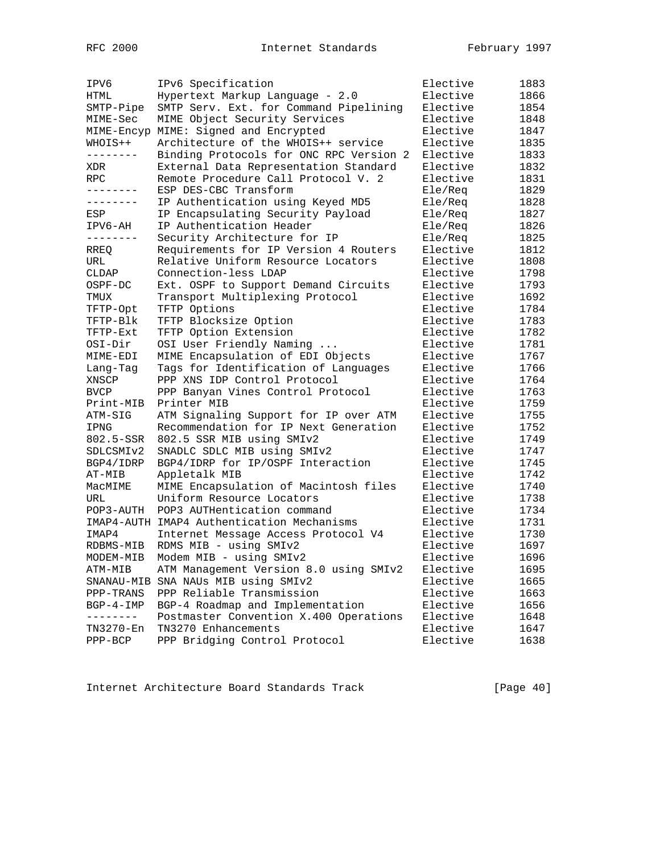| IPV6          | IPv6 Specification                         | Elective | 1883 |
|---------------|--------------------------------------------|----------|------|
| HTML          | Hypertext Markup Language - 2.0            | Elective | 1866 |
| SMTP-Pipe     | SMTP Serv. Ext. for Command Pipelining     | Elective | 1854 |
| MIME-Sec      | MIME Object Security Services              | Elective | 1848 |
|               | MIME-Encyp MIME: Signed and Encrypted      | Elective | 1847 |
| WHOIS++       | Architecture of the WHOIS++ service        | Elective | 1835 |
| ---------     | Binding Protocols for ONC RPC Version 2    | Elective | 1833 |
| XDR           | External Data Representation Standard      | Elective | 1832 |
| RPC           | Remote Procedure Call Protocol V. 2        | Elective | 1831 |
| --------      | ESP DES-CBC Transform                      | Ele/Req  | 1829 |
| --------      | IP Authentication using Keyed MD5          | Ele/Req  | 1828 |
| ESP           | IP Encapsulating Security Payload          | Ele/Req  | 1827 |
| IPV6-AH       | IP Authentication Header                   | Ele/Req  | 1826 |
| $- - - - - -$ | Security Architecture for IP               | Ele/Req  | 1825 |
| RREQ          | Requirements for IP Version 4 Routers      | Elective | 1812 |
| URL           | Relative Uniform Resource Locators         | Elective | 1808 |
| CLDAP         | Connection-less LDAP                       | Elective | 1798 |
| OSPF-DC       | Ext. OSPF to Support Demand Circuits       | Elective | 1793 |
| TMUX          | Transport Multiplexing Protocol            | Elective | 1692 |
| TFTP-Opt      | TFTP Options                               | Elective | 1784 |
| TFTP-Blk      | TFTP Blocksize Option                      | Elective | 1783 |
| TFTP-Ext      | TFTP Option Extension                      | Elective | 1782 |
| OSI-Dir       | OSI User Friendly Naming                   | Elective | 1781 |
| MIME-EDI      | MIME Encapsulation of EDI Objects          | Elective | 1767 |
| Lang-Tag      | Tags for Identification of Languages       | Elective | 1766 |
| XNSCP         | PPP XNS IDP Control Protocol               | Elective | 1764 |
| <b>BVCP</b>   | PPP Banyan Vines Control Protocol          | Elective | 1763 |
| Print-MIB     | Printer MIB                                | Elective | 1759 |
| ATM-SIG       | ATM Signaling Support for IP over ATM      | Elective | 1755 |
| IPNG          | Recommendation for IP Next Generation      | Elective | 1752 |
| 802.5-SSR     | 802.5 SSR MIB using SMIv2                  | Elective | 1749 |
| SDLCSMIv2     | SNADLC SDLC MIB using SMIv2                | Elective | 1747 |
| BGP4/IDRP     | BGP4/IDRP for IP/OSPF Interaction          | Elective | 1745 |
| AT-MIB        | Appletalk MIB                              | Elective | 1742 |
| MacMIME       | MIME Encapsulation of Macintosh files      | Elective | 1740 |
| URL           | Uniform Resource Locators                  | Elective | 1738 |
| POP3-AUTH     | POP3 AUTHentication command                | Elective | 1734 |
|               | IMAP4-AUTH IMAP4 Authentication Mechanisms | Elective | 1731 |
| IMAP4         | Internet Message Access Protocol V4        | Elective | 1730 |
| RDBMS-MIB     | RDMS MIB - using SMIv2                     | Elective | 1697 |
| MODEM-MIB     | Modem MIB - using SMIv2                    | Elective | 1696 |
| ATM-MIB       | ATM Management Version 8.0 using SMIv2     | Elective | 1695 |
| SNANAU-MIB    | SNA NAUs MIB using SMIv2                   | Elective | 1665 |
| PPP-TRANS     | PPP Reliable Transmission                  | Elective | 1663 |
| $BGP-4-IMP$   | BGP-4 Roadmap and Implementation           | Elective | 1656 |
| $- - - - - -$ | Postmaster Convention X.400 Operations     | Elective | 1648 |
| TN3270-En     | TN3270 Enhancements                        | Elective | 1647 |
| PPP-BCP       | PPP Bridging Control Protocol              | Elective | 1638 |

Internet Architecture Board Standards Track [Page 40]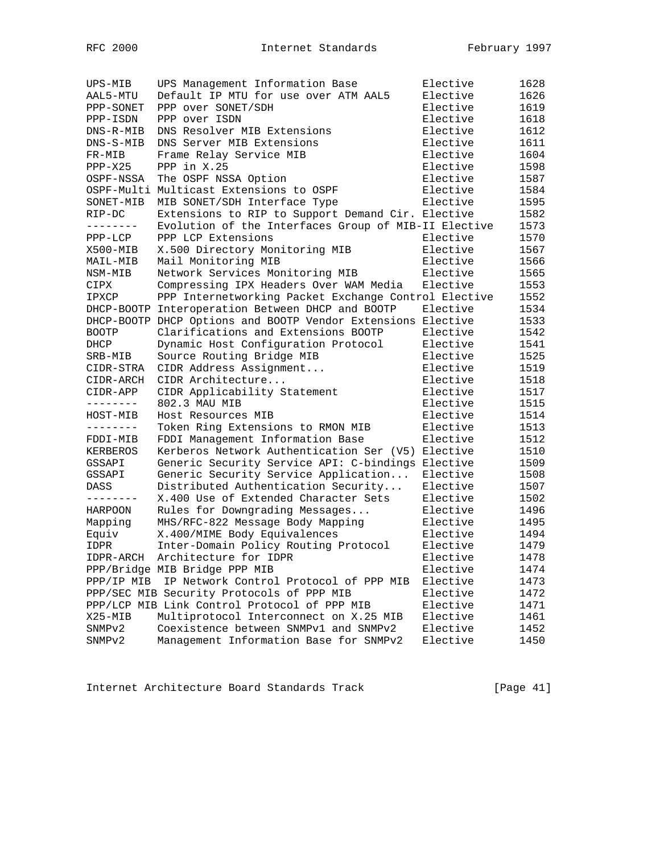| UPS-MIB        | UPS Management Information Base                              | Elective | 1628 |
|----------------|--------------------------------------------------------------|----------|------|
| AAL5-MTU       | Default IP MTU for use over ATM AAL5                         | Elective | 1626 |
| PPP-SONET      | PPP over SONET/SDH                                           | Elective | 1619 |
| PPP-ISDN       | PPP over ISDN                                                | Elective | 1618 |
| DNS-R-MIB      | DNS Resolver MIB Extensions                                  | Elective | 1612 |
| DNS-S-MIB      | DNS Server MIB Extensions                                    | Elective | 1611 |
| FR-MIB         | Frame Relay Service MIB                                      | Elective | 1604 |
| $PPP-X25$      | PPP in X.25                                                  | Elective | 1598 |
| OSPF-NSSA      | The OSPF NSSA Option                                         | Elective | 1587 |
|                | OSPF-Multi Multicast Extensions to OSPF                      | Elective | 1584 |
| SONET-MIB      | MIB SONET/SDH Interface Type                                 | Elective | 1595 |
| RIP-DC         | Extensions to RIP to Support Demand Cir. Elective            |          | 1582 |
| ---------      | Evolution of the Interfaces Group of MIB-II Elective         |          | 1573 |
|                |                                                              |          |      |
| PPP-LCP        | PPP LCP Extensions                                           | Elective | 1570 |
| X500-MIB       | X.500 Directory Monitoring MIB                               | Elective | 1567 |
| MAIL-MIB       | Mail Monitoring MIB                                          | Elective | 1566 |
| NSM-MIB        | Network Services Monitoring MIB                              | Elective | 1565 |
| CIPX           | Compressing IPX Headers Over WAM Media                       | Elective | 1553 |
| IPXCP          | PPP Internetworking Packet Exchange Control Elective         |          | 1552 |
|                | DHCP-BOOTP Interoperation Between DHCP and BOOTP             | Elective | 1534 |
|                | DHCP-BOOTP DHCP Options and BOOTP Vendor Extensions Elective |          | 1533 |
| <b>BOOTP</b>   | Clarifications and Extensions BOOTP                          | Elective | 1542 |
| DHCP           | Dynamic Host Configuration Protocol                          | Elective | 1541 |
| SRB-MIB        | Source Routing Bridge MIB                                    | Elective | 1525 |
| CIDR-STRA      | CIDR Address Assignment                                      | Elective | 1519 |
| CIDR-ARCH      | CIDR Architecture                                            | Elective | 1518 |
|                |                                                              | Elective | 1517 |
| CIDR-APP       | CIDR Applicability Statement                                 |          |      |
| --------       | 802.3 MAU MIB                                                | Elective | 1515 |
| HOST-MIB       | Host Resources MIB                                           | Elective | 1514 |
| --------       | Token Ring Extensions to RMON MIB                            | Elective | 1513 |
| FDDI-MIB       | FDDI Management Information Base                             | Elective | 1512 |
| KERBEROS       | Kerberos Network Authentication Ser (V5)                     | Elective | 1510 |
| GSSAPI         | Generic Security Service API: C-bindings Elective            |          | 1509 |
| GSSAPI         | Generic Security Service Application                         | Elective | 1508 |
| DASS           | Distributed Authentication Security                          | Elective | 1507 |
| --------       | X.400 Use of Extended Character Sets                         | Elective | 1502 |
| <b>HARPOON</b> | Rules for Downgrading Messages                               | Elective | 1496 |
| Mapping        | MHS/RFC-822 Message Body Mapping                             | Elective | 1495 |
| Equiv          | X.400/MIME Body Equivalences                                 | Elective | 1494 |
| <b>IDPR</b>    | Inter-Domain Policy Routing Protocol                         | Elective | 1479 |
| IDPR-ARCH      | Architecture for IDPR                                        | Elective | 1478 |
|                |                                                              |          |      |
|                | PPP/Bridge MIB Bridge PPP MIB                                | Elective | 1474 |
| PPP/IP MIB     | IP Network Control Protocol of PPP MIB                       | Elective | 1473 |
|                | PPP/SEC MIB Security Protocols of PPP MIB                    | Elective | 1472 |
|                | PPP/LCP MIB Link Control Protocol of PPP MIB                 | Elective | 1471 |
| $X25 - MIB$    | Multiprotocol Interconnect on X.25 MIB                       | Elective | 1461 |
| SNMPv2         | Coexistence between SNMPv1 and SNMPv2                        | Elective | 1452 |
| SNMPv2         | Management Information Base for SNMPv2                       | Elective | 1450 |

Internet Architecture Board Standards Track [Page 41]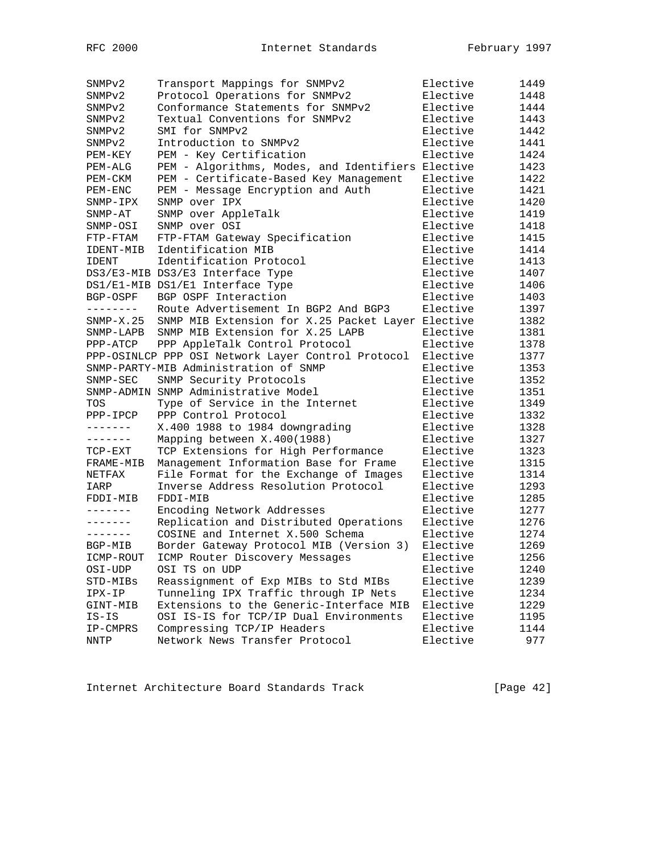| SNMP <sub>v2</sub> | Transport Mappings for SNMPv2                      | Elective             | 1449 |
|--------------------|----------------------------------------------------|----------------------|------|
| SNMP <sub>v2</sub> | Protocol Operations for SNMPv2                     | Elective             | 1448 |
| SNMP <sub>v2</sub> | Conformance Statements for SNMPv2                  | Elective             | 1444 |
| SNMP <sub>v2</sub> | Textual Conventions for SNMPv2                     | Elective             | 1443 |
| SNMPv2             | SMI for SNMPv2                                     | Elective             | 1442 |
| SNMP <sub>v2</sub> | Introduction to SNMPv2                             | Elective             | 1441 |
| PEM-KEY            | PEM - Key Certification                            | Elective             | 1424 |
| PEM-ALG            | PEM - Algorithms, Modes, and Identifiers Elective  |                      | 1423 |
| PEM-CKM            | PEM - Certificate-Based Key Management             | Elective             | 1422 |
| PEM-ENC            | PEM - Message Encryption and Auth                  | Elective             | 1421 |
| SNMP-IPX           | SNMP over IPX                                      | Elective             | 1420 |
| $SNMP-AT$          | SNMP over AppleTalk                                | Elective             | 1419 |
| SNMP-OSI           | SNMP over OSI                                      | Elective             | 1418 |
| FTP-FTAM           | FTP-FTAM Gateway Specification                     | Elective             | 1415 |
| IDENT-MIB          | Identification MIB                                 | Elective             | 1414 |
| <b>IDENT</b>       | Identification Protocol                            | Elective             | 1413 |
|                    | DS3/E3-MIB DS3/E3 Interface Type                   | Elective             | 1407 |
|                    | DS1/E1-MIB DS1/E1 Interface Type                   | Elective             | 1406 |
| BGP-OSPF           | BGP OSPF Interaction                               | Elective             | 1403 |
| --------           | Route Advertisement In BGP2 And BGP3               | Elective             | 1397 |
| $SNMP-X.25$        | SNMP MIB Extension for X.25 Packet Layer Elective  |                      | 1382 |
| SNMP-LAPB          | SNMP MIB Extension for X.25 LAPB                   | Elective             | 1381 |
| PPP-ATCP           | PPP AppleTalk Control Protocol                     | Elective             | 1378 |
|                    | PPP-OSINLCP PPP OSI Network Layer Control Protocol | Elective             | 1377 |
|                    | SNMP-PARTY-MIB Administration of SNMP              | Elective             | 1353 |
| $SNMP-SEC$         | SNMP Security Protocols                            | Elective             | 1352 |
|                    | SNMP-ADMIN SNMP Administrative Model               | Elective             | 1351 |
| TOS                | Type of Service in the Internet                    | Elective             | 1349 |
| PPP-IPCP           | PPP Control Protocol                               | Elective             | 1332 |
| -------            | X.400 1988 to 1984 downgrading                     | Elective             | 1328 |
|                    |                                                    |                      | 1327 |
|                    | Mapping between X.400(1988)                        | Elective<br>Elective |      |
| TCP-EXT            | TCP Extensions for High Performance                |                      | 1323 |
| FRAME-MIB          | Management Information Base for Frame              | Elective             | 1315 |
| NETFAX             | File Format for the Exchange of Images             | Elective             | 1314 |
| IARP               | Inverse Address Resolution Protocol                | Elective             | 1293 |
| FDDI-MIB           | FDDI-MIB                                           | Elective             | 1285 |
| --------           | Encoding Network Addresses                         | Elective             | 1277 |
| -------            | Replication and Distributed Operations             | Elective             | 1276 |
| -------            | COSINE and Internet X.500 Schema                   | Elective             | 1274 |
| BGP-MIB            | Border Gateway Protocol MIB (Version 3)            | Elective             | 1269 |
| ICMP-ROUT          | ICMP Router Discovery Messages                     | Elective             | 1256 |
| OSI-UDP            | OSI TS on UDP                                      | Elective             | 1240 |
| STD-MIBs           | Reassignment of Exp MIBs to Std MIBs               | Elective             | 1239 |
| IPX-IP             | Tunneling IPX Traffic through IP Nets              | Elective             | 1234 |
| GINT-MIB           | Extensions to the Generic-Interface MIB            | Elective             | 1229 |
| $IS-IS$            | OSI IS-IS for TCP/IP Dual Environments             | Elective             | 1195 |
| IP-CMPRS           | Compressing TCP/IP Headers                         | Elective             | 1144 |
| NNTP               | Network News Transfer Protocol                     | Elective             | 977  |

Internet Architecture Board Standards Track [Page 42]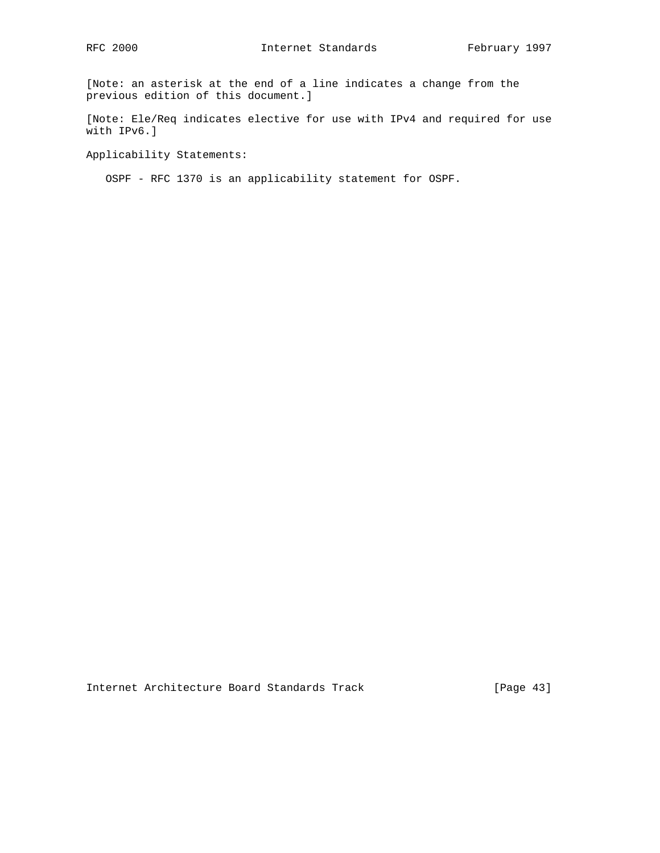[Note: an asterisk at the end of a line indicates a change from the previous edition of this document.]

[Note: Ele/Req indicates elective for use with IPv4 and required for use with IPv6.]

Applicability Statements:

OSPF - RFC 1370 is an applicability statement for OSPF.

Internet Architecture Board Standards Track [Page 43]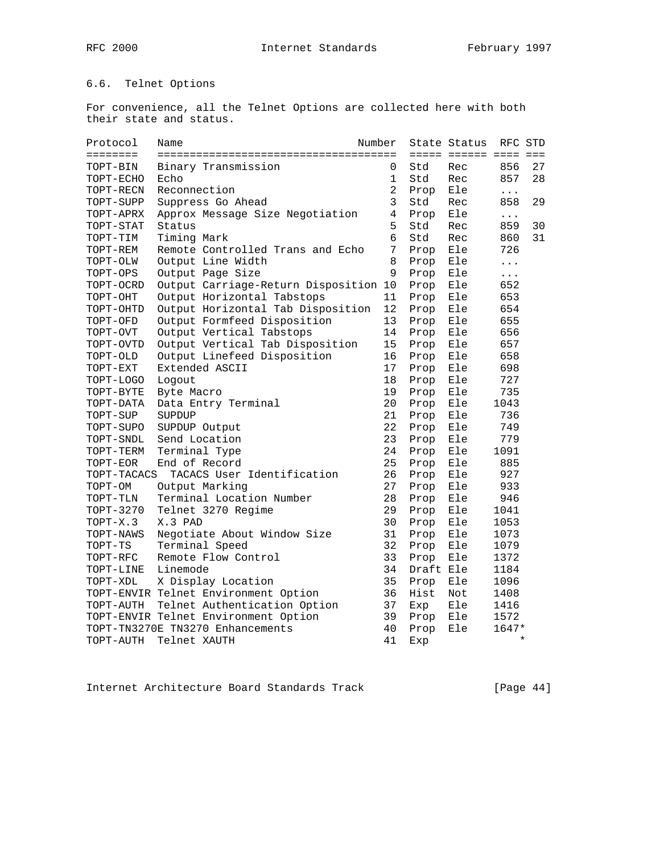# 6.6. Telnet Options

For convenience, all the Telnet Options are collected here with both their state and status.

| Protocol            | Number<br>Name                        |                |           | State Status          | RFC STD   |    |
|---------------------|---------------------------------------|----------------|-----------|-----------------------|-----------|----|
| ========            |                                       |                |           | ===== ====== ==== === |           |    |
| TOPT-BIN            | Binary Transmission                   | 0              | Std       | Rec                   | 856       | 27 |
| TOPT-ECHO           | Echo                                  | 1              | Std       | Rec                   | 857       | 28 |
| TOPT-RECN           | Reconnection                          | $\overline{2}$ | Prop      | Ele                   | $\cdots$  |    |
| TOPT-SUPP           | Suppress Go Ahead                     | 3              | Std       | Rec                   | 858       | 29 |
| TOPT-APRX           | Approx Message Size Negotiation       | 4              | Prop      | Ele                   | $\cdots$  |    |
| TOPT-STAT           | Status                                | 5              | Std       | Rec                   | 859       | 30 |
| TOPT-TIM            | Timing Mark                           | 6              | Std       | Rec                   | 860       | 31 |
| TOPT-REM            | Remote Controlled Trans and Echo      | 7              | Prop      | Ele                   | 726       |    |
| TOPT-OLW            | Output Line Width                     | 8              | Prop      | Ele                   | $\ddotsc$ |    |
| TOPT-OPS            | Output Page Size                      | 9              | Prop      | Ele                   | $\cdots$  |    |
| TOPT-OCRD           | Output Carriage-Return Disposition 10 |                | Prop      | Ele                   | 652       |    |
| TOPT-OHT            | Output Horizontal Tabstops            | 11             | Prop      | Ele                   | 653       |    |
| TOPT-OHTD           | Output Horizontal Tab Disposition     | 12             | Prop      | Ele                   | 654       |    |
| TOPT-OFD            | Output Formfeed Disposition           | 13             | Prop      | Ele                   | 655       |    |
| TOPT-OVT            | Output Vertical Tabstops              | 14             | Prop      | Ele                   | 656       |    |
| TOPT-OVTD           | Output Vertical Tab Disposition       | 15             | Prop      | Ele                   | 657       |    |
| $\texttt{TOPT-OLD}$ | Output Linefeed Disposition           | 16             | Prop      | Ele                   | 658       |    |
| TOPT-EXT            | Extended ASCII                        | 17             | Prop      | Ele                   | 698       |    |
| TOPT-LOGO           | Logout                                | 18             | Prop      | Ele                   | 727       |    |
| TOPT-BYTE           | Byte Macro                            | 19             | Prop      | Ele                   | 735       |    |
| TOPT-DATA           | Data Entry Terminal                   | 20             | Prop      | Ele                   | 1043      |    |
| TOPT-SUP            | SUPDUP                                | 21             | Prop      | Ele                   | 736       |    |
| TOPT-SUPO           | SUPDUP Output                         | 22             | Prop      | Ele                   | 749       |    |
| TOPT-SNDL           | Send Location                         | 23             | Prop      | Ele                   | 779       |    |
| TOPT-TERM           | Terminal Type                         | 24             | Prop      | Ele                   | 1091      |    |
| TOPT-EOR            | End of Record                         | 25             | Prop      | Ele                   | 885       |    |
| TOPT-TACACS         | TACACS User Identification            | 26             | Prop      | Ele                   | 927       |    |
| TOPT-OM             | Output Marking                        | 27             | Prop      | Ele                   | 933       |    |
| TOPT-TLN            | Terminal Location Number              | 28             | Prop      | Ele                   | 946       |    |
| TOPT-3270           | Telnet 3270 Regime                    | 29             | Prop      | Ele                   | 1041      |    |
| TOPT-X.3            | X.3 PAD                               | 30             | Prop      | Ele                   | 1053      |    |
| TOPT-NAWS           | Negotiate About Window Size           | 31             | Prop      | Ele                   | 1073      |    |
| TOPT-TS             | Terminal Speed                        | 32             | Prop      | Ele                   | 1079      |    |
| TOPT-RFC            | Remote Flow Control                   | 33             | Prop      | Ele                   | 1372      |    |
| TOPT-LINE           | Linemode                              | 34             | Draft Ele |                       | 1184      |    |
| TOPT-XDL            | X Display Location                    | 35             | Prop      | Ele                   | 1096      |    |
|                     | TOPT-ENVIR Telnet Environment Option  | 36             | Hist      | Not                   | 1408      |    |
| TOPT-AUTH           | Telnet Authentication Option          | 37             | Exp       | Ele                   | 1416      |    |
|                     | TOPT-ENVIR Telnet Environment Option  | 39             | Prop      | Ele                   | 1572      |    |
|                     | TOPT-TN3270E TN3270 Enhancements      | 40             | Prop      | Ele                   | 1647*     |    |
| TOPT-AUTH           | Telnet XAUTH                          | 41             | Exp       |                       | $\star$   |    |

Internet Architecture Board Standards Track [Page 44]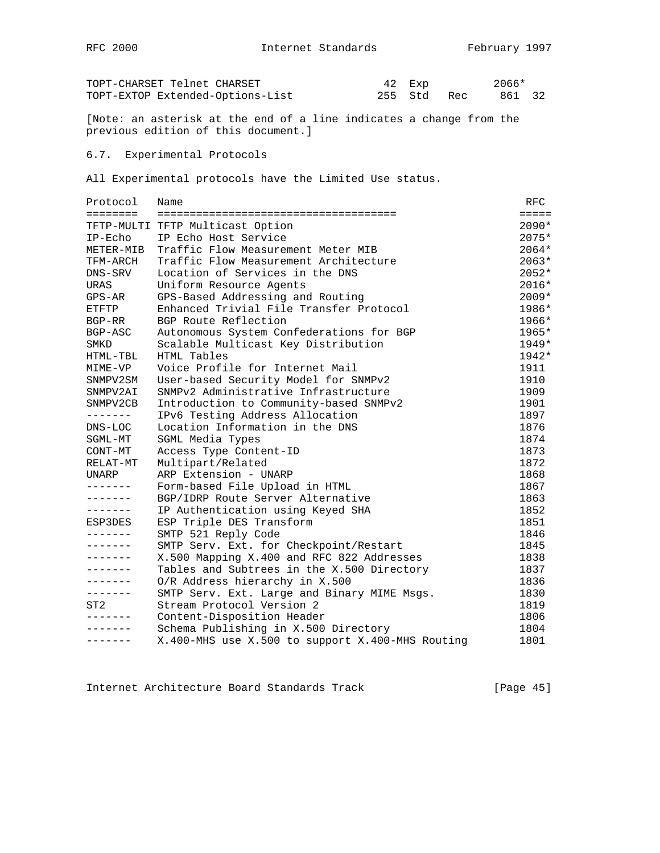| TOPT-CHARSET Telnet CHARSET      |  | 42 Exp |             | 2066*  |  |
|----------------------------------|--|--------|-------------|--------|--|
| TOPT-EXTOP Extended-Options-List |  |        | 255 Std Rec | 861 32 |  |

[Note: an asterisk at the end of a line indicates a change from the previous edition of this document.]

### 6.7. Experimental Protocols

All Experimental protocols have the Limited Use status.

| Protocol        | Name                                             | RFC             |
|-----------------|--------------------------------------------------|-----------------|
| $=$             |                                                  | $=$ $=$ $=$ $=$ |
|                 | TFTP-MULTI TFTP Multicast Option                 | $2090*$         |
| $IP-ECho$       | IP Echo Host Service                             | $2075*$         |
| METER-MIB       | Traffic Flow Measurement Meter MIB               | 2064*           |
| TFM-ARCH        | Traffic Flow Measurement Architecture            | $2063*$         |
| DNS-SRV         | Location of Services in the DNS                  | $2052*$         |
| <b>URAS</b>     | Uniform Resource Agents                          | $2016*$         |
| GPS-AR          | GPS-Based Addressing and Routing                 | $2009*$         |
| ETFTP           | Enhanced Trivial File Transfer Protocol          | 1986*           |
| $BGP - RR$      | BGP Route Reflection                             | 1966*           |
| BGP-ASC         | Autonomous System Confederations for BGP         | 1965*           |
| SMKD            | Scalable Multicast Key Distribution              | $1949*$         |
| HTML-TBL        | HTML Tables                                      | $1942*$         |
| MIME-VP         | Voice Profile for Internet Mail                  | 1911            |
| SNMPV2SM        | User-based Security Model for SNMPv2             | 1910            |
| SNMPV2AI        | SNMPv2 Administrative Infrastructure             | 1909            |
| SNMPV2CB        | Introduction to Community-based SNMPv2           | 1901            |
| $- - - - - - -$ | IPv6 Testing Address Allocation                  | 1897            |
| DNS-LOC         | Location Information in the DNS                  | 1876            |
| SGML-MT         | SGML Media Types                                 | 1874            |
| CONT-MT         | Access Type Content-ID                           | 1873            |
| RELAT-MT        | Multipart/Related                                | 1872            |
| UNARP           | ARP Extension - UNARP                            | 1868            |
| -------         | Form-based File Upload in HTML                   | 1867            |
| -------         | BGP/IDRP Route Server Alternative                | 1863            |
| -------         | IP Authentication using Keyed SHA                | 1852            |
| ESP3DES         | ESP Triple DES Transform                         | 1851            |
|                 | SMTP 521 Reply Code                              | 1846            |
| -------         | SMTP Serv. Ext. for Checkpoint/Restart           | 1845            |
| -------         | X.500 Mapping X.400 and RFC 822 Addresses        | 1838            |
|                 | Tables and Subtrees in the X.500 Directory       | 1837            |
| -------         | O/R Address hierarchy in X.500                   | 1836            |
| $- - - - - - -$ | SMTP Serv. Ext. Large and Binary MIME Msgs.      | 1830            |
| ST2             | Stream Protocol Version 2                        | 1819            |
|                 | Content-Disposition Header                       | 1806            |
|                 | Schema Publishing in X.500 Directory             | 1804            |
| -------         | X.400-MHS use X.500 to support X.400-MHS Routing | 1801            |

Internet Architecture Board Standards Track [Page 45]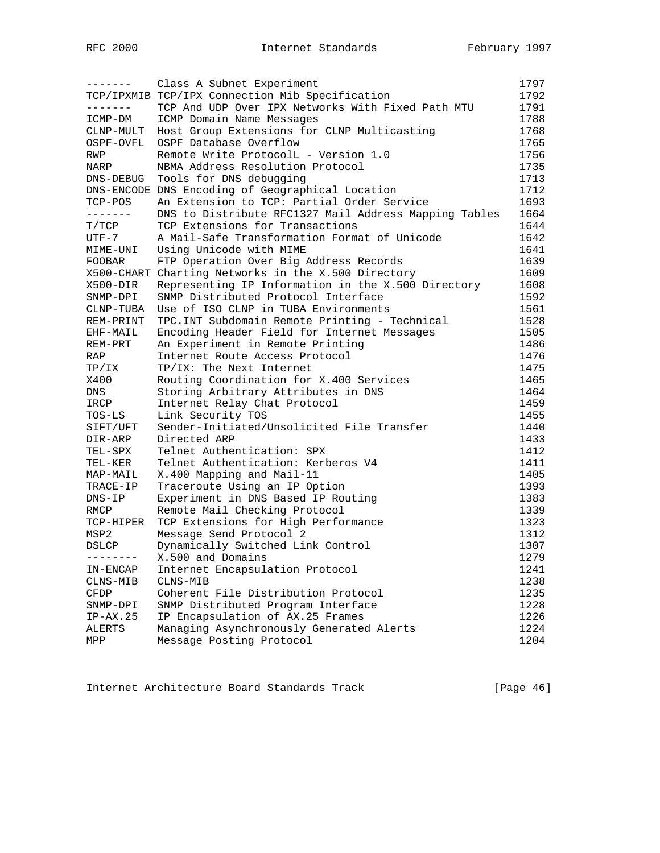| -------                         | Class A Subnet Experiment                             | 1797 |
|---------------------------------|-------------------------------------------------------|------|
|                                 | TCP/IPXMIB TCP/IPX Connection Mib Specification       | 1792 |
| --------                        | TCP And UDP Over IPX Networks With Fixed Path MTU     | 1791 |
| ICMP-DM                         | ICMP Domain Name Messages                             | 1788 |
| CLNP-MULT                       | Host Group Extensions for CLNP Multicasting           | 1768 |
| OSPF-OVFL                       | OSPF Database Overflow                                | 1765 |
| RWP                             | Remote Write ProtocolL - Version 1.0                  | 1756 |
| NARP                            | NBMA Address Resolution Protocol                      | 1735 |
| DNS-DEBUG                       | Tools for DNS debugging                               | 1713 |
|                                 | DNS-ENCODE DNS Encoding of Geographical Location      | 1712 |
| TCP-POS                         | An Extension to TCP: Partial Order Service            | 1693 |
|                                 | DNS to Distribute RFC1327 Mail Address Mapping Tables | 1664 |
| T/TCP                           | TCP Extensions for Transactions                       | 1644 |
| UTF-7                           | A Mail-Safe Transformation Format of Unicode          | 1642 |
| MIME-UNI                        | Using Unicode with MIME                               | 1641 |
| FOOBAR                          | FTP Operation Over Big Address Records                | 1639 |
|                                 | X500-CHART Charting Networks in the X.500 Directory   | 1609 |
| X500-DIR                        | Representing IP Information in the X.500 Directory    | 1608 |
| SNMP-DPI                        | SNMP Distributed Protocol Interface                   | 1592 |
| $CLNP-TUBA$                     | Use of ISO CLNP in TUBA Environments                  | 1561 |
| REM-PRINT                       | TPC. INT Subdomain Remote Printing - Technical        | 1528 |
| EHF-MAIL                        | Encoding Header Field for Internet Messages           | 1505 |
| REM-PRT                         | An Experiment in Remote Printing                      | 1486 |
| RAP                             | Internet Route Access Protocol                        | 1476 |
| TP/IX                           | TP/IX: The Next Internet                              | 1475 |
| X400                            | Routing Coordination for X.400 Services               | 1465 |
| DNS                             | Storing Arbitrary Attributes in DNS                   | 1464 |
| IRCP                            | Internet Relay Chat Protocol                          | 1459 |
| TOS-LS                          | Link Security TOS                                     | 1455 |
| SIFT/UFT                        | Sender-Initiated/Unsolicited File Transfer            | 1440 |
| DIR-ARP                         | Directed ARP                                          | 1433 |
| TEL-SPX                         | Telnet Authentication: SPX                            | 1412 |
| TEL-KER                         | Telnet Authentication: Kerberos V4                    | 1411 |
| MAP-MAIL                        | X.400 Mapping and Mail-11                             | 1405 |
| TRACE-IP                        | Traceroute Using an IP Option                         | 1393 |
| $DNS-IP$                        | Experiment in DNS Based IP Routing                    | 1383 |
| RMCP                            | Remote Mail Checking Protocol                         | 1339 |
| TCP-HIPER                       | TCP Extensions for High Performance                   | 1323 |
| MSP2                            | Message Send Protocol 2                               | 1312 |
| DSLCP                           | Dynamically Switched Link Control                     | 1307 |
| $- - - - - - - - - \end{array}$ | X.500 and Domains                                     | 1279 |
| IN-ENCAP                        | Internet Encapsulation Protocol                       | 1241 |
| CLNS-MIB                        | CLNS-MIB                                              | 1238 |
| CFDP                            | Coherent File Distribution Protocol                   | 1235 |
| SNMP-DPI                        | SNMP Distributed Program Interface                    | 1228 |
| $IP-AX.25$                      | IP Encapsulation of AX.25 Frames                      | 1226 |
| ALERTS                          | Managing Asynchronously Generated Alerts              | 1224 |
| MPP                             | Message Posting Protocol                              | 1204 |

Internet Architecture Board Standards Track [Page 46]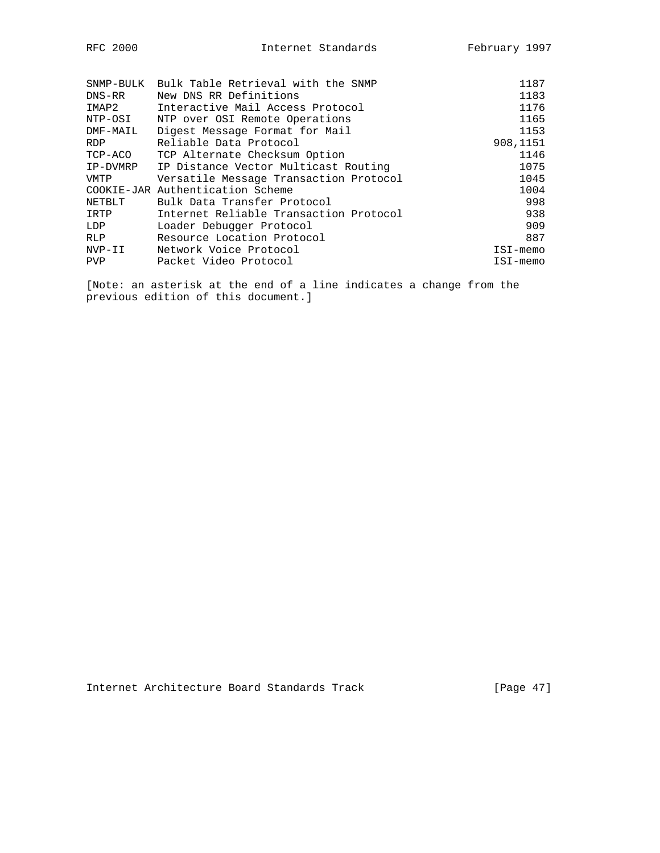| FC 2000 |  |
|---------|--|
|         |  |

| SNMP-BULK  | Bulk Table Retrieval with the SNMP     | 1187     |
|------------|----------------------------------------|----------|
| DNS-RR     | New DNS RR Definitions                 | 1183     |
| IMAP2      | Interactive Mail Access Protocol       | 1176     |
| NTP-OSI    | NTP over OSI Remote Operations         | 1165     |
| DMF-MAIL   | Digest Message Format for Mail         | 1153     |
| <b>RDP</b> | Reliable Data Protocol                 | 908,1151 |
| TCP-ACO    | TCP Alternate Checksum Option          | 1146     |
| IP-DVMRP   | IP Distance Vector Multicast Routing   | 1075     |
| VMTP       | Versatile Message Transaction Protocol | 1045     |
|            | COOKIE-JAR Authentication Scheme       | 1004     |
| NETBLT     | Bulk Data Transfer Protocol            | 998      |
| IRTP       | Internet Reliable Transaction Protocol | 938      |
| LDP        | Loader Debugger Protocol               | 909      |
| RLP.       | Resource Location Protocol             | 887      |
| NVP-II     | Network Voice Protocol                 | ISI-memo |
| <b>PVP</b> | Packet Video Protocol                  | ISI-memo |
|            |                                        |          |

[Note: an asterisk at the end of a line indicates a change from the previous edition of this document.]

Internet Architecture Board Standards Track [Page 47]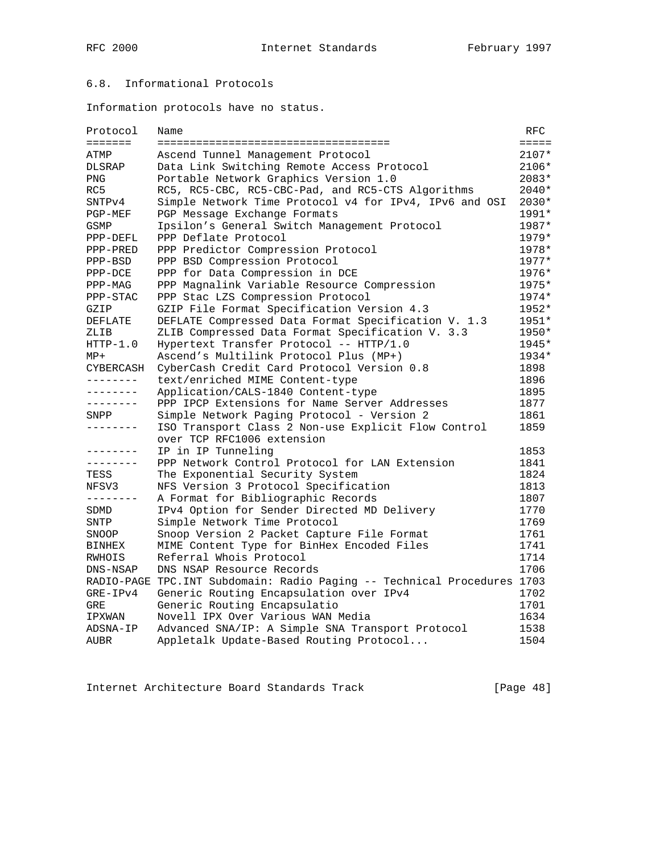# 6.8. Informational Protocols

Information protocols have no status.

| Protocol       | Name                                                                     | RFC.       |
|----------------|--------------------------------------------------------------------------|------------|
| <b>EEEEEEE</b> | ======================================                                   | $== == ==$ |
| ATMP           | Ascend Tunnel Management Protocol                                        | $2107*$    |
| <b>DLSRAP</b>  | Data Link Switching Remote Access Protocol                               | 2106*      |
| PNG            | Portable Network Graphics Version 1.0                                    | 2083*      |
| RC5            | RC5, RC5-CBC, RC5-CBC-Pad, and RC5-CTS Algorithms                        | $2040*$    |
| SNTPv4         | Simple Network Time Protocol v4 for IPv4, IPv6 and OSI                   | 2030*      |
| PGP-MEF        | PGP Message Exchange Formats                                             | 1991*      |
| GSMP           | Ipsilon's General Switch Management Protocol                             | 1987*      |
| PPP-DEFL       | PPP Deflate Protocol                                                     | $1979*$    |
| PPP-PRED       | PPP Predictor Compression Protocol                                       | 1978*      |
| PPP-BSD        | PPP BSD Compression Protocol                                             | 1977*      |
| PPP-DCE        | PPP for Data Compression in DCE                                          | 1976*      |
| PPP-MAG        | PPP Magnalink Variable Resource Compression                              | 1975*      |
| PPP-STAC       | PPP Stac LZS Compression Protocol                                        | $1974*$    |
| GZIP           | GZIP File Format Specification Version 4.3                               | $1952*$    |
| DEFLATE        | DEFLATE Compressed Data Format Specification V. 1.3                      | 1951*      |
| ZLIB           | ZLIB Compressed Data Format Specification V. 3.3                         | $1950*$    |
| $HTTP-1.0$     | Hypertext Transfer Protocol -- HTTP/1.0                                  | 1945*      |
| $MP+$          | Ascend's Multilink Protocol Plus (MP+)                                   | $1934*$    |
| CYBERCASH      | CyberCash Credit Card Protocol Version 0.8                               | 1898       |
| --------       | text/enriched MIME Content-type                                          | 1896       |
| --------       | Application/CALS-1840 Content-type                                       | 1895       |
| --------       | PPP IPCP Extensions for Name Server Addresses                            | 1877       |
| SNPP           | Simple Network Paging Protocol - Version 2                               | 1861       |
| --------       | ISO Transport Class 2 Non-use Explicit Flow Control                      | 1859       |
|                | over TCP RFC1006 extension                                               |            |
| --------       | IP in IP Tunneling                                                       | 1853       |
| --------       | PPP Network Control Protocol for LAN Extension                           | 1841       |
| TESS           | The Exponential Security System                                          | 1824       |
| NFSV3          | NFS Version 3 Protocol Specification                                     | 1813       |
| --------       | A Format for Bibliographic Records                                       | 1807       |
| SDMD           | IPv4 Option for Sender Directed MD Delivery                              | 1770       |
| SNTP           | Simple Network Time Protocol                                             | 1769       |
| SNOOP          | Snoop Version 2 Packet Capture File Format                               | 1761       |
| BINHEX         | MIME Content Type for BinHex Encoded Files                               | 1741       |
| RWHOIS         | Referral Whois Protocol                                                  | 1714       |
| DNS-NSAP       | DNS NSAP Resource Records                                                | 1706       |
|                | RADIO-PAGE TPC. INT Subdomain: Radio Paging -- Technical Procedures 1703 |            |
| $GRE-IPv4$     | Generic Routing Encapsulation over IPv4                                  | 1702       |
| <b>GRE</b>     | Generic Routing Encapsulatio                                             | 1701       |
| IPXWAN         | Novell IPX Over Various WAN Media                                        | 1634       |
| ADSNA-IP       | Advanced SNA/IP: A Simple SNA Transport Protocol                         | 1538       |
| AUBR           | Appletalk Update-Based Routing Protocol                                  | 1504       |

Internet Architecture Board Standards Track [Page 48]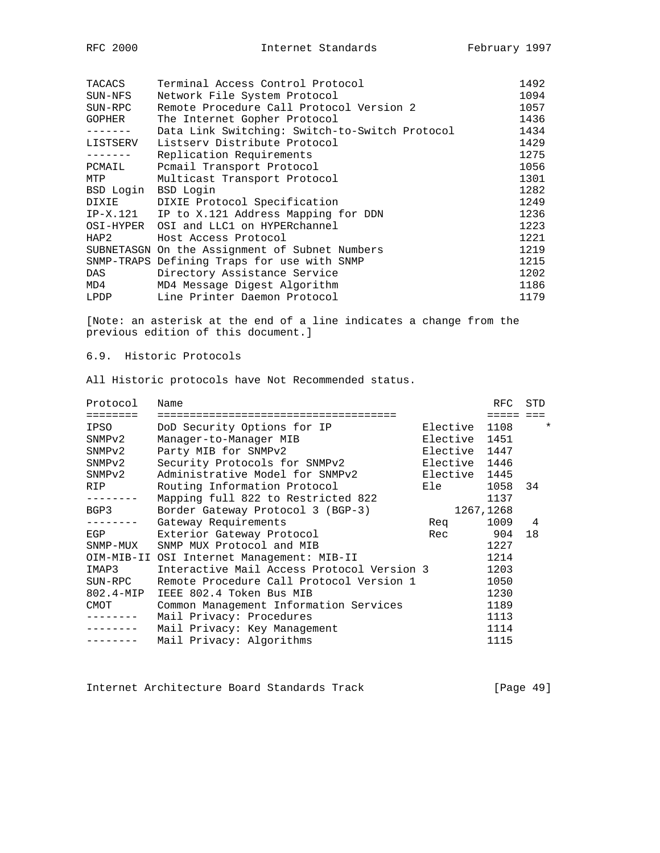| RFC | 2000 |
|-----|------|
|     |      |

| TACACS<br>SUN-NFS | Terminal Access Control Protocol<br>Network File System Protocol | 1492<br>1094 |
|-------------------|------------------------------------------------------------------|--------------|
| SUN-RPC           | Remote Procedure Call Protocol Version 2                         | 1057         |
| <b>GOPHER</b>     | The Internet Gopher Protocol                                     | 1436         |
|                   | Data Link Switching: Switch-to-Switch Protocol                   | 1434         |
| LISTSERV          | Listsery Distribute Protocol                                     | 1429         |
|                   | Replication Requirements                                         | 1275         |
| PCMAIL            | Pomail Transport Protocol                                        | 1056         |
| MTP               | Multicast Transport Protocol                                     | 1301         |
| BSD Login         | BSD Login                                                        | 1282         |
| DIXIE             | DIXIE Protocol Specification                                     | 1249         |
| IP-X.121          | IP to X.121 Address Mapping for DDN                              | 1236         |
| OSI-HYPER         | OSI and LLC1 on HYPERchannel                                     | 1223         |
| HAP2              | Host Access Protocol                                             | 1221         |
|                   | SUBNETASGN On the Assignment of Subnet Numbers                   | 1219         |
|                   | SNMP-TRAPS Defining Traps for use with SNMP                      | 1215         |
| DAS               | Directory Assistance Service                                     | 1202         |
| MD4               | MD4 Message Digest Algorithm                                     | 1186         |
| LPDP              | Line Printer Daemon Protocol                                     | 1179         |

[Note: an asterisk at the end of a line indicates a change from the previous edition of this document.]

# 6.9. Historic Protocols

All Historic protocols have Not Recommended status.

| Protocol             | Name                                       |               | RFC    | STD |   |
|----------------------|--------------------------------------------|---------------|--------|-----|---|
| ========             | ====================                       |               | =====  |     |   |
| IPSO                 | DoD Security Options for IP                | Elective      | 1108   |     | * |
| SNMPv2               | Manager-to-Manager MIB                     | Elective 1451 |        |     |   |
| SNMPv2               | Party MIB for SNMPv2                       | Elective 1447 |        |     |   |
| SNMPv2               | Security Protocols for SNMPv2              | Elective 1446 |        |     |   |
| SNMPv2               | Administrative Model for SNMPv2            | Elective 1445 |        |     |   |
| <b>RIP</b>           | Routing Information Protocol               | Ele           | 1058   | 34  |   |
|                      | Mapping full 822 to Restricted 822         |               | 1137   |     |   |
| BGP3                 | Border Gateway Protocol 3 (BGP-3)          | 1267,1268     |        |     |   |
| . <u>.</u> .         | Gateway Requirements                       | Req           | 1009 4 |     |   |
| EGP                  | Exterior Gateway Protocol                  | Rec           | 904    | 18  |   |
| SNMP-MUX             | SNMP MUX Protocol and MIB                  |               | 1227   |     |   |
|                      | OIM-MIB-II OSI Internet Management: MIB-II |               | 1214   |     |   |
| IMAP3                | Interactive Mail Access Protocol Version 3 |               | 1203   |     |   |
| SUN-RPC              | Remote Procedure Call Protocol Version 1   |               | 1050   |     |   |
| $802.4 - \text{MIP}$ | IEEE 802.4 Token Bus MIB                   |               | 1230   |     |   |
| CMOT                 | Common Management Information Services     |               | 1189   |     |   |
|                      | Mail Privacy: Procedures                   |               | 1113   |     |   |
|                      | Mail Privacy: Key Management               |               | 1114   |     |   |
|                      | Mail Privacy: Algorithms                   |               | 1115   |     |   |

Internet Architecture Board Standards Track [Page 49]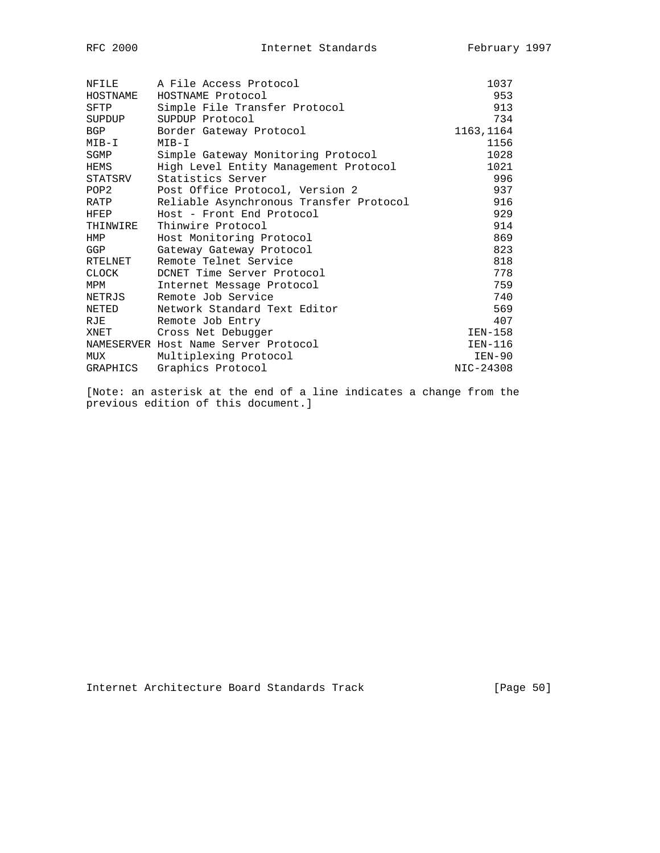| NFILE            | A File Access Protocol                  | 1037      |
|------------------|-----------------------------------------|-----------|
| HOSTNAME         | HOSTNAME Protocol                       | 953       |
| SFTP             | Simple File Transfer Protocol           | 913       |
| SUPDUP           | SUPDUP Protocol                         | 734       |
| <b>BGP</b>       | Border Gateway Protocol                 | 1163,1164 |
| MIB-I            | MIB-I                                   | 1156      |
| SGMP             | Simple Gateway Monitoring Protocol      | 1028      |
| HEMS             | High Level Entity Management Protocol   | 1021      |
| STATSRV          | Statistics Server                       | 996       |
| POP <sub>2</sub> | Post Office Protocol, Version 2         | 937       |
| RATP             | Reliable Asynchronous Transfer Protocol | 916       |
| <b>HFEP</b>      | Host - Front End Protocol               | 929       |
| THINWIRE         | Thinwire Protocol                       | 914       |
| HMP              | Host Monitoring Protocol                | 869       |
| GGP              | Gateway Gateway Protocol                | 823       |
| RTELNET          | Remote Telnet Service                   | 818       |
| <b>CLOCK</b>     | DCNET Time Server Protocol              | 778       |
| MPM              | Internet Message Protocol               | 759       |
| NETRJS           | Remote Job Service                      | 740       |
| NETED            | Network Standard Text Editor            | 569       |
| RJE              | Remote Job Entry                        | 407       |
| XNET             | Cross Net Debugger                      | IEN-158   |
|                  | NAMESERVER Host Name Server Protocol    | IEN-116   |
| MUX              | Multiplexing Protocol                   | IEN-90    |
| GRAPHICS         | Graphics Protocol                       | NIC-24308 |

[Note: an asterisk at the end of a line indicates a change from the previous edition of this document.]

Internet Architecture Board Standards Track [Page 50]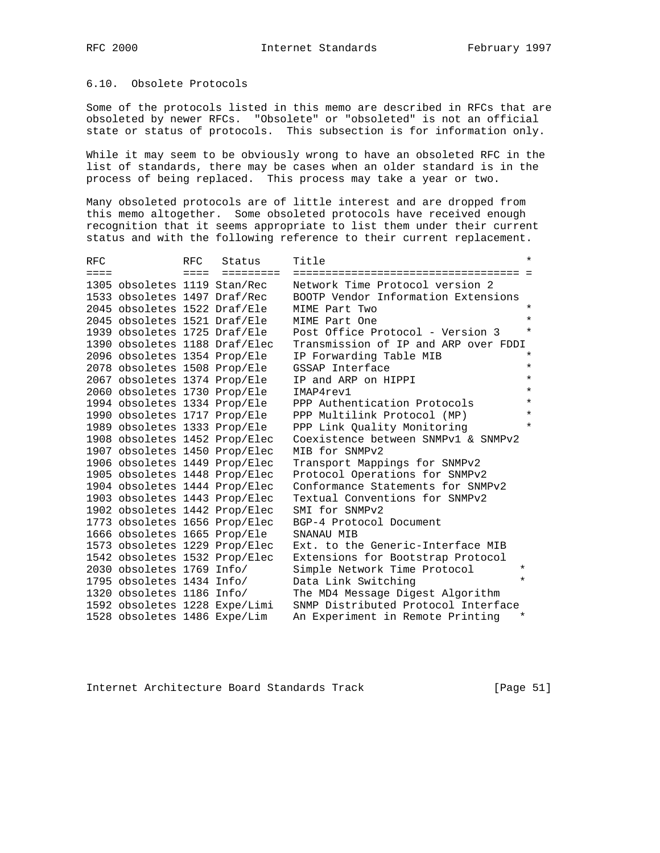### 6.10. Obsolete Protocols

Some of the protocols listed in this memo are described in RFCs that are obsoleted by newer RFCs. "Obsolete" or "obsoleted" is not an official state or status of protocols. This subsection is for information only.

While it may seem to be obviously wrong to have an obsoleted RFC in the list of standards, there may be cases when an older standard is in the process of being replaced. This process may take a year or two.

Many obsoleted protocols are of little interest and are dropped from this memo altogether. Some obsoleted protocols have received enough recognition that it seems appropriate to list them under their current status and with the following reference to their current replacement.

| RFC             |                               | RFC.            | Status    | Title                                       | $\star$ |
|-----------------|-------------------------------|-----------------|-----------|---------------------------------------------|---------|
| $=$ $=$ $=$ $=$ |                               | $=$ $=$ $=$ $=$ | ========= | ======================================      |         |
|                 | 1305 obsoletes 1119 Stan/Rec  |                 |           | Network Time Protocol version 2             |         |
|                 | 1533 obsoletes 1497 Draf/Rec  |                 |           | BOOTP Vendor Information Extensions         |         |
|                 | 2045 obsoletes 1522 Draf/Ele  |                 |           | MIME Part Two                               | $\star$ |
|                 | 2045 obsoletes 1521 Draf/Ele  |                 |           | MIME Part One                               | $\star$ |
|                 | 1939 obsoletes 1725 Draf/Ele  |                 |           | Post Office Protocol - Version 3            | $\star$ |
|                 | 1390 obsoletes 1188 Draf/Elec |                 |           | Transmission of IP and ARP over FDDI        |         |
|                 | 2096 obsoletes 1354 Prop/Ele  |                 |           | IP Forwarding Table MIB                     | $\star$ |
|                 | 2078 obsoletes 1508 Prop/Ele  |                 |           | GSSAP Interface                             | $\star$ |
|                 | 2067 obsoletes 1374 Prop/Ele  |                 |           | IP and ARP on HIPPI                         | $\star$ |
|                 | 2060 obsoletes 1730 Prop/Ele  |                 |           | IMAP4rev1                                   | $\star$ |
|                 | 1994 obsoletes 1334 Prop/Ele  |                 |           | PPP Authentication Protocols                | $\star$ |
|                 | 1990 obsoletes 1717 Prop/Ele  |                 |           | PPP Multilink Protocol (MP)                 | $\star$ |
|                 | 1989 obsoletes 1333 Prop/Ele  |                 |           | PPP Link Ouality Monitoring                 | $\star$ |
|                 | 1908 obsoletes 1452 Prop/Elec |                 |           | Coexistence between SNMPv1 & SNMPv2         |         |
|                 | 1907 obsoletes 1450 Prop/Elec |                 |           | MIB for SNMPv2                              |         |
|                 | 1906 obsoletes 1449 Prop/Elec |                 |           | Transport Mappings for SNMPv2               |         |
|                 | 1905 obsoletes 1448 Prop/Elec |                 |           | Protocol Operations for SNMPv2              |         |
|                 | 1904 obsoletes 1444 Prop/Elec |                 |           | Conformance Statements for SNMPv2           |         |
|                 | 1903 obsoletes 1443 Prop/Elec |                 |           | Textual Conventions for SNMPv2              |         |
|                 | 1902 obsoletes 1442 Prop/Elec |                 |           | SMI for SNMPv2                              |         |
|                 | 1773 obsoletes 1656 Prop/Elec |                 |           | BGP-4 Protocol Document                     |         |
|                 | 1666 obsoletes 1665 Prop/Ele  |                 |           | SNANAU MIB                                  |         |
|                 | 1573 obsoletes 1229 Prop/Elec |                 |           | Ext, to the Generic-Interface MIB           |         |
|                 | 1542 obsoletes 1532 Prop/Elec |                 |           | Extensions for Bootstrap Protocol           |         |
|                 | 2030 obsoletes 1769 Info/     |                 |           | Simple Network Time Protocol                | $\star$ |
|                 | 1795 obsoletes 1434 Info/     |                 |           | Data Link Switching                         | $\star$ |
|                 | 1320 obsoletes 1186 Info/     |                 |           | The MD4 Message Digest Algorithm            |         |
|                 | 1592 obsoletes 1228 Expe/Limi |                 |           | SNMP Distributed Protocol Interface         |         |
|                 | 1528 obsoletes 1486 Expe/Lim  |                 |           | An Experiment in Remote Printing<br>$\star$ |         |

Internet Architecture Board Standards Track [Page 51]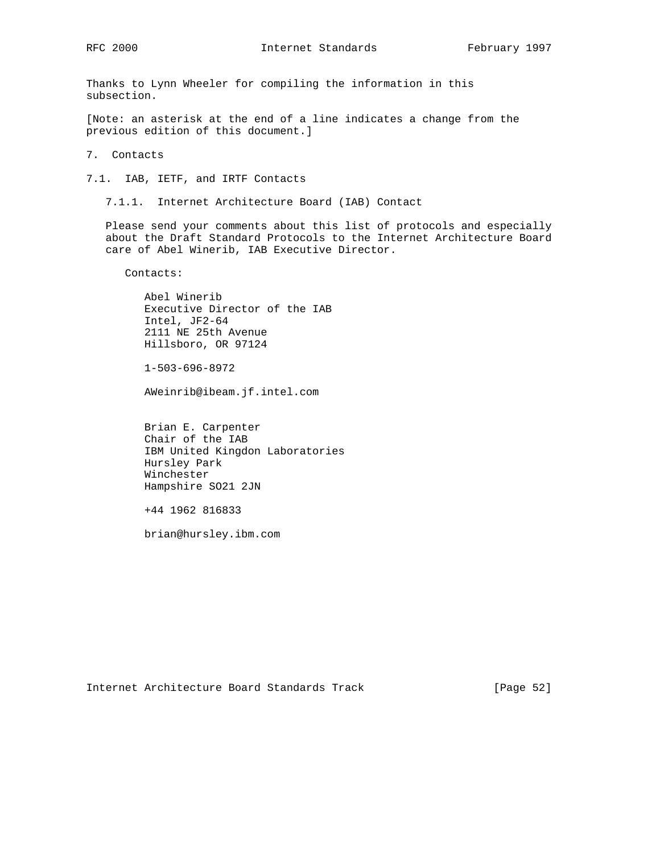Thanks to Lynn Wheeler for compiling the information in this subsection.

[Note: an asterisk at the end of a line indicates a change from the previous edition of this document.]

7. Contacts

7.1. IAB, IETF, and IRTF Contacts

7.1.1. Internet Architecture Board (IAB) Contact

 Please send your comments about this list of protocols and especially about the Draft Standard Protocols to the Internet Architecture Board care of Abel Winerib, IAB Executive Director.

Contacts:

 Abel Winerib Executive Director of the IAB Intel, JF2-64 2111 NE 25th Avenue Hillsboro, OR 97124

1-503-696-8972

AWeinrib@ibeam.jf.intel.com

 Brian E. Carpenter Chair of the IAB IBM United Kingdon Laboratories Hursley Park Winchester Hampshire SO21 2JN

+44 1962 816833

brian@hursley.ibm.com

Internet Architecture Board Standards Track [Page 52]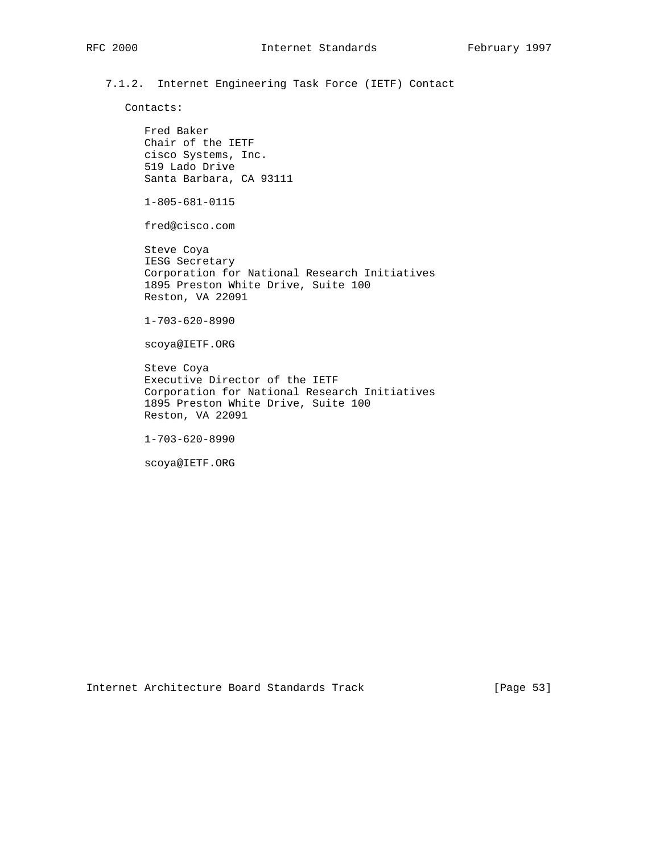7.1.2. Internet Engineering Task Force (IETF) Contact

Contacts:

 Fred Baker Chair of the IETF cisco Systems, Inc. 519 Lado Drive Santa Barbara, CA 93111

1-805-681-0115

fred@cisco.com

 Steve Coya IESG Secretary Corporation for National Research Initiatives 1895 Preston White Drive, Suite 100 Reston, VA 22091

1-703-620-8990

scoya@IETF.ORG

 Steve Coya Executive Director of the IETF Corporation for National Research Initiatives 1895 Preston White Drive, Suite 100 Reston, VA 22091

1-703-620-8990

scoya@IETF.ORG

Internet Architecture Board Standards Track [Page 53]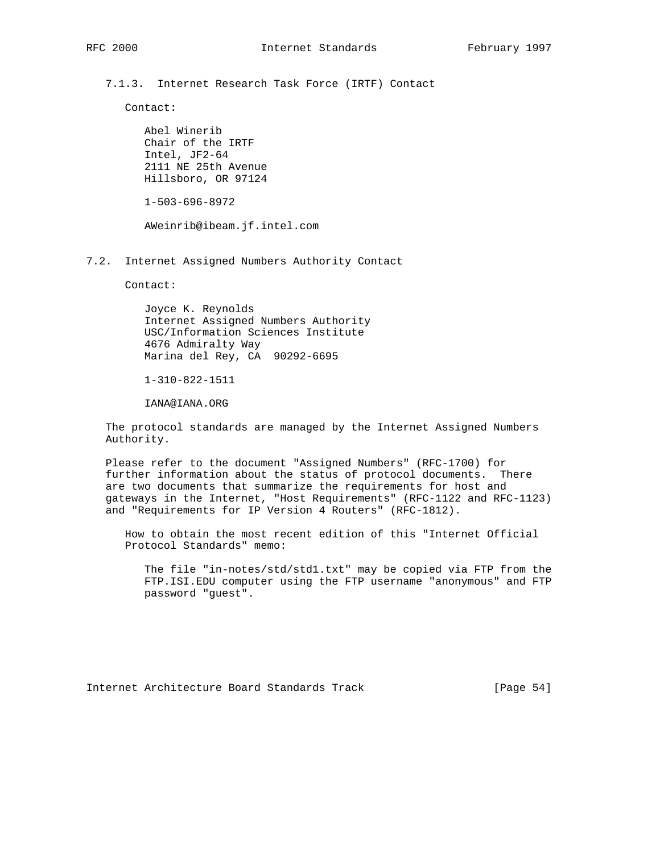7.1.3. Internet Research Task Force (IRTF) Contact

Contact:

 Abel Winerib Chair of the IRTF Intel, JF2-64 2111 NE 25th Avenue Hillsboro, OR 97124

1-503-696-8972

AWeinrib@ibeam.jf.intel.com

7.2. Internet Assigned Numbers Authority Contact

Contact:

 Joyce K. Reynolds Internet Assigned Numbers Authority USC/Information Sciences Institute 4676 Admiralty Way Marina del Rey, CA 90292-6695

1-310-822-1511

IANA@IANA.ORG

 The protocol standards are managed by the Internet Assigned Numbers Authority.

 Please refer to the document "Assigned Numbers" (RFC-1700) for further information about the status of protocol documents. There are two documents that summarize the requirements for host and gateways in the Internet, "Host Requirements" (RFC-1122 and RFC-1123) and "Requirements for IP Version 4 Routers" (RFC-1812).

 How to obtain the most recent edition of this "Internet Official Protocol Standards" memo:

 The file "in-notes/std/std1.txt" may be copied via FTP from the FTP.ISI.EDU computer using the FTP username "anonymous" and FTP password "guest".

Internet Architecture Board Standards Track [Page 54]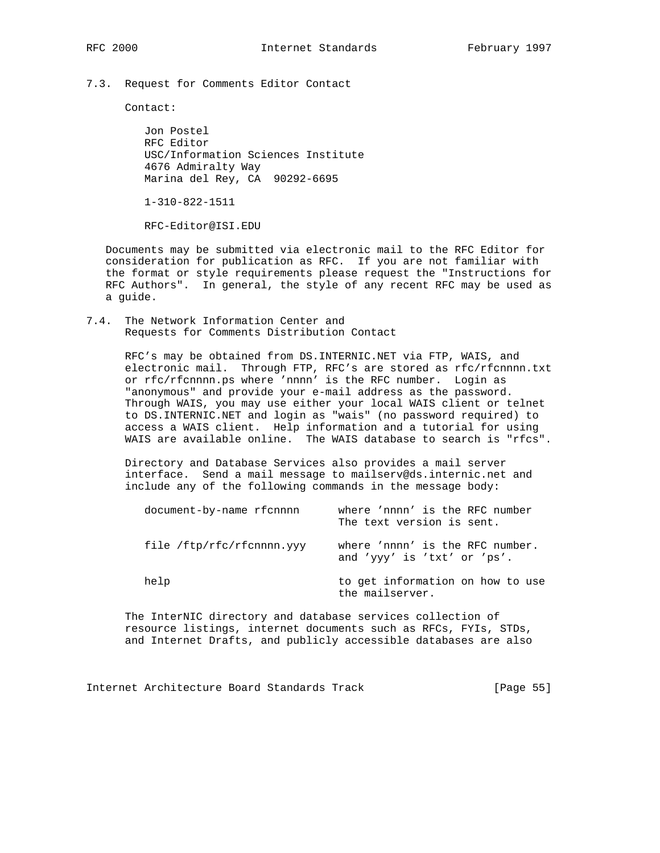7.3. Request for Comments Editor Contact

Contact:

 Jon Postel RFC Editor USC/Information Sciences Institute 4676 Admiralty Way Marina del Rey, CA 90292-6695

1-310-822-1511

RFC-Editor@ISI.EDU

 Documents may be submitted via electronic mail to the RFC Editor for consideration for publication as RFC. If you are not familiar with the format or style requirements please request the "Instructions for RFC Authors". In general, the style of any recent RFC may be used as a guide.

7.4. The Network Information Center and Requests for Comments Distribution Contact

> RFC's may be obtained from DS.INTERNIC.NET via FTP, WAIS, and electronic mail. Through FTP, RFC's are stored as rfc/rfcnnnn.txt or rfc/rfcnnnn.ps where 'nnnn' is the RFC number. Login as "anonymous" and provide your e-mail address as the password. Through WAIS, you may use either your local WAIS client or telnet to DS.INTERNIC.NET and login as "wais" (no password required) to access a WAIS client. Help information and a tutorial for using WAIS are available online. The WAIS database to search is "rfcs".

 Directory and Database Services also provides a mail server interface. Send a mail message to mailserv@ds.internic.net and include any of the following commands in the message body:

| document-by-name rfcnnnn  | where 'nnnn' is the RFC number<br>The text version is sent.    |
|---------------------------|----------------------------------------------------------------|
| file /ftp/rfc/rfcnnnn.yyy | where 'nnnn' is the RFC number.<br>and 'yyy' is 'txt' or 'ps'. |
| help                      | to get information on how to use<br>the mailserver.            |

 The InterNIC directory and database services collection of resource listings, internet documents such as RFCs, FYIs, STDs, and Internet Drafts, and publicly accessible databases are also

Internet Architecture Board Standards Track [Page 55]